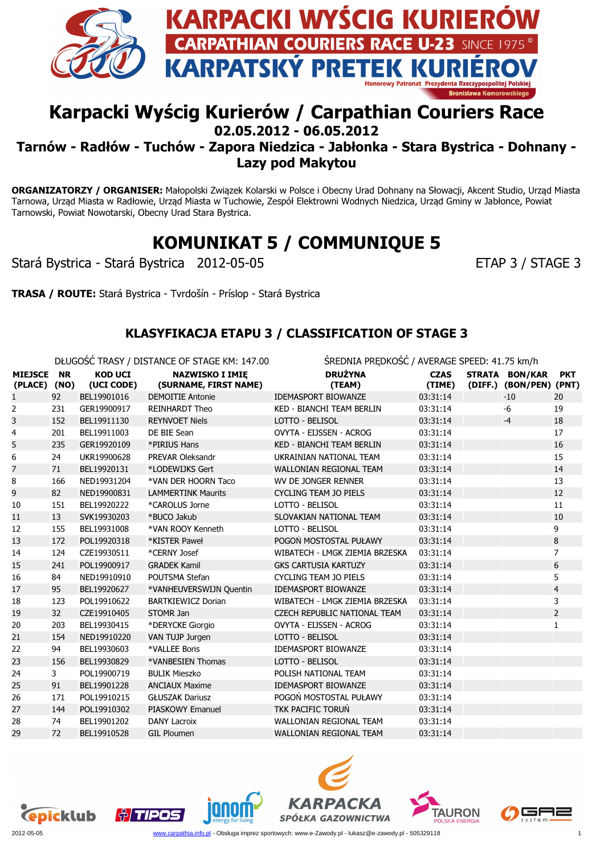

# Karpacki Wyścig Kurierów / Carpathian Couriers Race 02.05.2012 - 06.05.2012

Tarnów - Radłów - Tuchów - Zapora Niedzica - Jabłonka - Stara Bystrica - Dohnany - Lazy pod Makytou

ORGANIZATORZY / ORGANISER: Małopolski Związek Kolarski w Polsce i Obecny Urad Dohnany na Słowacji, Akcent Studio, Urząd Miasta Tarnowa, Urząd Miasta w Radłowie, Urząd Miasta w Tuchowie, Zespół Elektrowni Wodnych Niedzica, Urząd Gminy w Jabłonce, Powiat Tarnowski, Powiat Nowotarski, Obecny Urad Stara Bystrica.

# KOMUNIKAT 5 / COMMUNIQUE 5

Stará Bystrica - Stará Bystrica 2012-05-05 ETAP 3 / STAGE 3

TRASA / ROUTE: Stará Bystrica - Tvrdošín - Príslop - Stará Bystrica

# KLASYFIKACJA ETAPU 3 / CLASSIFICATION OF STAGE 3

DŁUGOŚĆ TRASY / DISTANCE OF STAGE KM: 147.00 ŚREDNIA PRĘDKOŚĆ / AVERAGE SPEED: 41.75 km/h

|  | CDEDNIA DDEDKOCC / $\Lambda$ VEDACE CDEED: 41 75 km/h |  |
|--|-------------------------------------------------------|--|

|                            |     |                              | יסט. <i>ו</i> וי ביטוים שטוויוטביטו שטואר מאודר שפטסט | $\frac{1}{2}$                       |                       |                                           |                |
|----------------------------|-----|------------------------------|-------------------------------------------------------|-------------------------------------|-----------------------|-------------------------------------------|----------------|
| MIEJSCE NR<br>(PLACE) (NO) |     | <b>KOD UCI</b><br>(UCI CODE) | <b>NAZWISKO I IMIĘ</b><br>(SURNAME, FIRST NAME)       | <b>DRUŻYNA</b><br>(TEAM)            | <b>CZAS</b><br>(TIME) | STRATA BON/KAR<br>(DIFF.) (BON/PEN) (PNT) | <b>PKT</b>     |
| $\mathbf{1}$               | 92  | BEL19901016                  | <b>DEMOITIE Antonie</b>                               | <b>IDEMASPORT BIOWANZE</b>          | 03:31:14              | $-10$                                     | 20             |
| 2                          | 231 | GER19900917                  | <b>REINHARDT Theo</b>                                 | <b>KED - BIANCHI TEAM BERLIN</b>    | 03:31:14              | $-6$                                      | 19             |
| 3                          | 152 | BEL19911130                  | <b>REYNVOET Niels</b>                                 | LOTTO - BELISOL                     | 03:31:14              | $-4$                                      | 18             |
| $\overline{4}$             | 201 | BEL19911003                  | DE BIE Sean                                           | OVYTA - EIJSSEN - ACROG             | 03:31:14              |                                           | 17             |
| 5                          | 235 | GER19920109                  | *PIRIUS Hans                                          | <b>KED - BIANCHI TEAM BERLIN</b>    | 03:31:14              |                                           | 16             |
| 6                          | 24  | UKR19900628                  | PREVAR Oleksandr                                      | UKRAINIAN NATIONAL TEAM             | 03:31:14              |                                           | 15             |
| 7                          | 71  | BEL19920131                  | *LODEWIJKS Gert                                       | <b>WALLONIAN REGIONAL TEAM</b>      | 03:31:14              |                                           | 14             |
| 8                          | 166 | NED19931204                  | *VAN DER HOORN Taco                                   | WV DE JONGER RENNER                 | 03:31:14              |                                           | 13             |
| 9                          | 82  | NED19900831                  | <b>LAMMERTINK Maurits</b>                             | <b>CYCLING TEAM JO PIELS</b>        | 03:31:14              |                                           | 12             |
| 10                         | 151 | BEL19920222                  | *CAROLUS Jorne                                        | LOTTO - BELISOL                     | 03:31:14              |                                           | 11             |
| 11                         | 13  | SVK19930203                  | *BUCO Jakub                                           | SLOVAKIAN NATIONAL TEAM             | 03:31:14              |                                           | 10             |
| 12                         | 155 | BEL19931008                  | *VAN ROOY Kenneth                                     | LOTTO - BELISOL                     | 03:31:14              |                                           | 9              |
| 13                         | 172 | POL19920318                  | *KISTER Paweł                                         | POGOŃ MOSTOSTAL PUŁAWY              | 03:31:14              |                                           | 8              |
| 14                         | 124 | CZE19930511                  | *CERNY Josef                                          | WIBATECH - LMGK ZIEMIA BRZESKA      | 03:31:14              |                                           | $\overline{7}$ |
| 15                         | 241 | POL19900917                  | <b>GRADEK Kamil</b>                                   | <b>GKS CARTUSIA KARTUZY</b>         | 03:31:14              |                                           | 6              |
| 16                         | 84  | NED19910910                  | POUTSMA Stefan                                        | <b>CYCLING TEAM JO PIELS</b>        | 03:31:14              |                                           | 5              |
| 17                         | 95  | BEL19920627                  | *VANHEUVERSWIJN Quentin                               | <b>IDEMASPORT BIOWANZE</b>          | 03:31:14              |                                           | $\overline{4}$ |
| 18                         | 123 | POL19910622                  | <b>BARTKIEWICZ Dorian</b>                             | WIBATECH - LMGK ZIEMIA BRZESKA      | 03:31:14              |                                           | 3              |
| 19                         | 32  | CZE19910405                  | <b>STOMR Jan</b>                                      | <b>CZECH REPUBLIC NATIONAL TEAM</b> | 03:31:14              |                                           | $\overline{2}$ |
| 20                         | 203 | BEL19930415                  | *DERYCKE Giorgio                                      | OVYTA - EIJSSEN - ACROG             | 03:31:14              |                                           | 1              |
| 21                         | 154 | NED19910220                  | VAN TUJP Jurgen                                       | LOTTO - BELISOL                     | 03:31:14              |                                           |                |
| 22                         | 94  | BEL19930603                  | *VALLEE Boris                                         | <b>IDEMASPORT BIOWANZE</b>          | 03:31:14              |                                           |                |
| 23                         | 156 | BEL19930829                  | *VANBESIEN Thomas                                     | LOTTO - BELISOL                     | 03:31:14              |                                           |                |
| 24                         | 3   | POL19900719                  | <b>BULIK Mieszko</b>                                  | POLISH NATIONAL TEAM                | 03:31:14              |                                           |                |
| 25                         | 91  | BEL19901228                  | <b>ANCIAUX Maxime</b>                                 | <b>IDEMASPORT BIOWANZE</b>          | 03:31:14              |                                           |                |
| 26                         | 171 | POL19910215                  | <b>GŁUSZAK Dariusz</b>                                | POGOŃ MOSTOSTAL PUŁAWY              | 03:31:14              |                                           |                |
| 27                         | 144 | POL19910302                  | <b>PIASKOWY Emanuel</b>                               | <b>TKK PACIFIC TORUN</b>            | 03:31:14              |                                           |                |
| 28                         | 74  | BEL19901202                  | <b>DANY Lacroix</b>                                   | WALLONIAN REGIONAL TEAM             | 03:31:14              |                                           |                |
| 29                         | 72  | BEL19910528                  | <b>GIL Ploumen</b>                                    | <b>WALLONIAN REGIONAL TEAM</b>      | 03:31:14              |                                           |                |
|                            |     |                              |                                                       |                                     |                       |                                           |                |









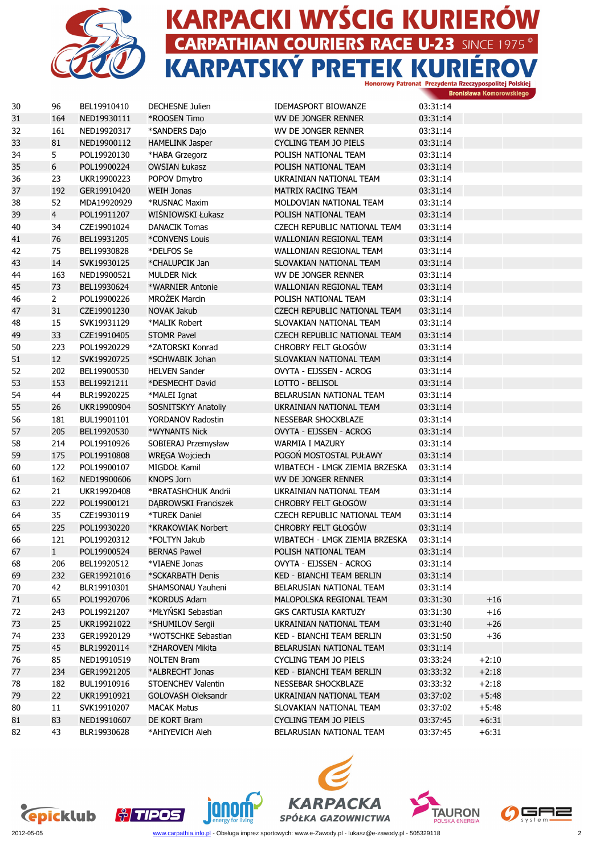

# **KARPACKI WYŚCIG KURIERÓW CARPATHIAN COURIERS RACE U-23 SINCE 1975<sup>°</sup> KARPATSKÝ PRETEK KURIÉRO** at Prezydenta Rzeczypospolitej Polskiej

**Bronisława Komorowskiego** 30 96 BEL19910410 DECHESNE Julien IDEMASPORT BIOWANZE 03:31:14 164 NED19930111 \*ROOSEN Timo WV DE JONGER RENNER 03:31:14 161 NED19920317 \*SANDERS Dajo WV DE JONGER RENNER 03:31:14 81 NED19900112 HAMELINK Jasper CYCLING TEAM JO PIELS 03:31:14 5 POL19920130 \*HABA Grzegorz POLISH NATIONAL TEAM 03:31:14 6 POL19900224 OWSIAN Łukasz POLISH NATIONAL TEAM 03:31:14 23 UKR19900223 POPOV Dmytro UKRAINIAN NATIONAL TEAM 03:31:14 192 GER19910420 WEIH Jonas MATRIX RACING TEAM 03:31:14 52 MDA19920929 \*RUSNAC Maxim MOLDOVIAN NATIONAL TEAM 03:31:14 4 POL19911207 WIŚNIOWSKI Łukasz POLISH NATIONAL TEAM 03:31:14 34 CZE19901024 DANACIK Tomas CZECH REPUBLIC NATIONAL TEAM 03:31:14 76 BEL19931205 \*CONVENS Louis WALLONIAN REGIONAL TEAM 03:31:14 75 BEL19930828 \*DELFOS Se WALLONIAN REGIONAL TEAM 03:31:14 14 SVK19930125 \*CHALUPCIK Jan SLOVAKIAN NATIONAL TEAM 03:31:14 163 NED19900521 MULDER Nick WV DE JONGER RENNER 03:31:14 73 BEL19930624 \*WARNIER Antonie WALLONIAN REGIONAL TEAM 03:31:14 2 POL19900226 MROŻEK Marcin POLISH NATIONAL TEAM 03:31:14 31 CZE19901230 NOVAK Jakub CZECH REPUBLIC NATIONAL TEAM 03:31:14 15 SVK19931129 \*MALIK Robert SLOVAKIAN NATIONAL TEAM 03:31:14 33 CZE19910405 STOMR Pavel CZECH REPUBLIC NATIONAL TEAM 03:31:14 223 POL19920229 \*ZATORSKI Konrad CHROBRY FELT GŁOGÓW 03:31:14 12 SVK19920725 \*SCHWABIK Johan SLOVAKIAN NATIONAL TEAM 03:31:14 202 BEL19900530 HELVEN Sander OVYTA - EIJSSEN - ACROG 03:31:14 153 BEL19921211 \*DESMECHT David LOTTO - BELISOL 03:31:14 44 BLR19920225 \*MALEI Ignat BELARUSIAN NATIONAL TEAM 03:31:14 26 UKR19900904 SOSNITSKYY Anatoliy UKRAINIAN NATIONAL TEAM 03:31:14 181 BUL19901101 YORDANOV Radostin NESSEBAR SHOCKBLAZE 03:31:14 205 BEL19920530 \*WYNANTS Nick OVYTA - EIJSSEN - ACROG 03:31:14 214 POL19910926 SOBIERAJ Przemysław WARMIA I MAZURY 03:31:14 175 POL19910808 WRĘGA Wojciech POGOŃ MOSTOSTAL PUŁAWY 03:31:14 122 POL19900107 MIGDOŁ Kamil WIBATECH - LMGK ZIEMIA BRZESKA 03:31:14 162 NED19900606 KNOPS Jorn WV DE JONGER RENNER 03:31:14 21 UKR19920408 \*BRATASHCHUK Andrii UKRAINIAN NATIONAL TEAM 03:31:14 222 POL19900121 DĄBROWSKI Franciszek CHROBRY FELT GŁOGÓW 03:31:14 35 CZE19930119 \*TUREK Daniel CZECH REPUBLIC NATIONAL TEAM 03:31:14 225 POL19930220 \*KRAKOWIAK Norbert CHROBRY FELT GŁOGÓW 03:31:14 121 POL19920312 \*FOLTYN Jakub WIBATECH - LMGK ZIEMIA BRZESKA 03:31:14 1 POL19900524 BERNAS Paweł POLISH NATIONAL TEAM 03:31:14 206 BEL19920512 \*VIAENE Jonas OVYTA - EIJSSEN - ACROG 03:31:14 232 GER19921016 \*SCKARBATH Denis KED - BIANCHI TEAM BERLIN 03:31:14 42 BLR19910301 SHAMSONAU Yauheni BELARUSIAN NATIONAL TEAM 03:31:14 65 POL19920706 \*KORDUS Adam MALOPOLSKA REGIONAL TEAM 03:31:30 +16 243 POL19921207 \*MŁYŃSKI Sebastian GKS CARTUSIA KARTUZY 03:31:30 +16 25 UKR19921022 \*SHUMILOV Sergii UKRAINIAN NATIONAL TEAM 03:31:40 +26 74 233 GER19920129 \*WOTSCHKE Sebastian KED - BIANCHI TEAM BERLIN 03:31:50 +36 45 BLR19920114 \*ZHAROVEN Mikita BELARUSIAN NATIONAL TEAM 03:31:14 85 NED19910519 NOLTEN Bram CYCLING TEAM JO PIELS 03:33:24 +2:10 234 GER19921205 \*ALBRECHT Jonas KED - BIANCHI TEAM BERLIN 03:33:32 +2:18 182 BUL19910916 STOENCHEV Valentin NESSEBAR SHOCKBLAZE 03:33:32 +2:18 22 UKR19910921 GOLOVASH Oleksandr UKRAINIAN NATIONAL TEAM 03:37:02 +5:48 11 SVK19910207 MACAK Matus SLOVAKIAN NATIONAL TEAM 03:37:02 +5:48 83 NED19910607 DE KORT Bram CYCLING TEAM JO PIELS 03:37:45 +6:31 43 BLR19930628 \*AHIYEVICH Aleh BELARUSIAN NATIONAL TEAM 03:37:45 +6:31









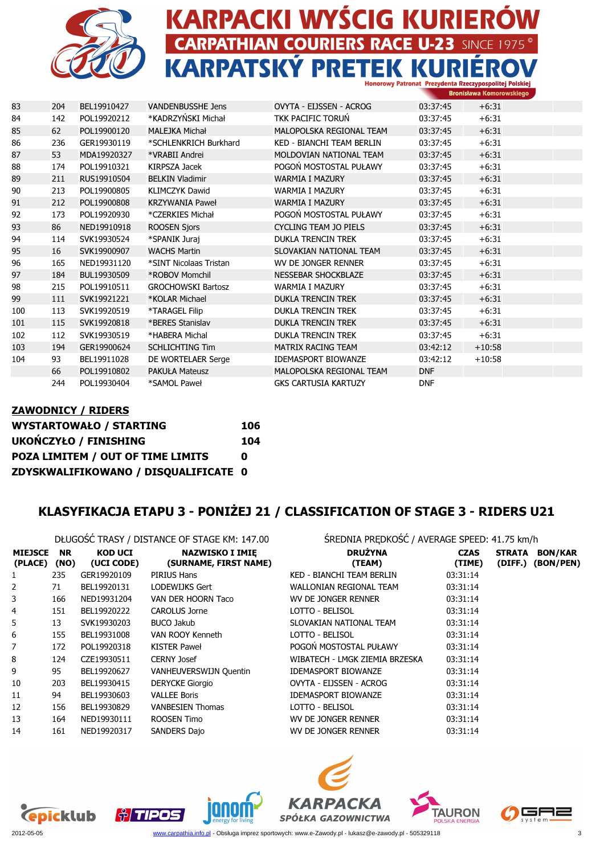

|     |     |             |                           |                                  |            | <b>DIVIIIMAMA KUIIIUIUWSKIEYU</b> |  |
|-----|-----|-------------|---------------------------|----------------------------------|------------|-----------------------------------|--|
| 83  | 204 | BEL19910427 | <b>VANDENBUSSHE Jens</b>  | OVYTA - EIJSSEN - ACROG          | 03:37:45   | $+6:31$                           |  |
| 84  | 142 | POL19920212 | *KADRZYŃSKI Michał        | TKK PACIFIC TORUN                | 03:37:45   | $+6:31$                           |  |
| 85  | 62  | POL19900120 | <b>MALEJKA Michał</b>     | MALOPOLSKA REGIONAL TEAM         | 03:37:45   | $+6:31$                           |  |
| 86  | 236 | GER19930119 | *SCHLENKRICH Burkhard     | <b>KED - BIANCHI TEAM BERLIN</b> | 03:37:45   | $+6:31$                           |  |
| 87  | 53  | MDA19920327 | *VRABII Andrei            | MOLDOVIAN NATIONAL TEAM          | 03:37:45   | $+6:31$                           |  |
| 88  | 174 | POL19910321 | <b>KIRPSZA Jacek</b>      | POGOŃ MOSTOSTAL PUŁAWY           | 03:37:45   | $+6:31$                           |  |
| 89  | 211 | RUS19910504 | <b>BELKIN Vladimir</b>    | <b>WARMIA I MAZURY</b>           | 03:37:45   | $+6:31$                           |  |
| 90  | 213 | POL19900805 | <b>KLIMCZYK Dawid</b>     | <b>WARMIA I MAZURY</b>           | 03:37:45   | $+6:31$                           |  |
| 91  | 212 | POL19900808 | <b>KRZYWANIA Paweł</b>    | <b>WARMIA I MAZURY</b>           | 03:37:45   | $+6:31$                           |  |
| 92  | 173 | POL19920930 | *CZERKIES Michał          | POGOŃ MOSTOSTAL PUŁAWY           | 03:37:45   | $+6:31$                           |  |
| 93  | 86  | NED19910918 | <b>ROOSEN Sjors</b>       | <b>CYCLING TEAM JO PIELS</b>     | 03:37:45   | $+6:31$                           |  |
| 94  | 114 | SVK19930524 | *SPANIK Juraj             | <b>DUKLA TRENCIN TREK</b>        | 03:37:45   | $+6:31$                           |  |
| 95  | 16  | SVK19900907 | <b>WACHS Martin</b>       | SLOVAKIAN NATIONAL TEAM          | 03:37:45   | $+6:31$                           |  |
| 96  | 165 | NED19931120 | *SINT Nicolaas Tristan    | WV DE JONGER RENNER              | 03:37:45   | $+6:31$                           |  |
| 97  | 184 | BUL19930509 | *ROBOV Momchil            | <b>NESSEBAR SHOCKBLAZE</b>       | 03:37:45   | $+6:31$                           |  |
| 98  | 215 | POL19910511 | <b>GROCHOWSKI Bartosz</b> | <b>WARMIA I MAZURY</b>           | 03:37:45   | $+6:31$                           |  |
| 99  | 111 | SVK19921221 | *KOLAR Michael            | <b>DUKLA TRENCIN TREK</b>        | 03:37:45   | $+6:31$                           |  |
| 100 | 113 | SVK19920519 | *TARAGEL Filip            | <b>DUKLA TRENCIN TREK</b>        | 03:37:45   | $+6:31$                           |  |
| 101 | 115 | SVK19920818 | *BERES Stanislav          | <b>DUKLA TRENCIN TREK</b>        | 03:37:45   | $+6:31$                           |  |
| 102 | 112 | SVK19930519 | *HABERA Michal            | <b>DUKLA TRENCIN TREK</b>        | 03:37:45   | $+6:31$                           |  |
| 103 | 194 | GER19900624 | <b>SCHLICHTING Tim</b>    | <b>MATRIX RACING TEAM</b>        | 03:42:12   | $+10:58$                          |  |
| 104 | 93  | BEL19911028 | DE WORTELAER Serge        | <b>IDEMASPORT BIOWANZE</b>       | 03:42:12   | $+10:58$                          |  |
|     | 66  | POL19910802 | <b>PAKUŁA Mateusz</b>     | MALOPOLSKA REGIONAL TEAM         | <b>DNF</b> |                                   |  |
|     | 244 | POL19930404 | *SAMOL Paweł              | <b>GKS CARTUSIA KARTUZY</b>      | <b>DNF</b> |                                   |  |
|     |     |             |                           |                                  |            |                                   |  |

### ZAWODNICY / RIDERS WYSTARTOWAŁO / STARTING 106 UKOŃCZYŁO / FINISHING 104 POZA LIMITEM / OUT OF TIME LIMITS 0 ZDYSKWALIFIKOWANO / DISQUALIFICATE 0

# KLASYFIKACJA ETAPU 3 - PONIŻEJ 21 / CLASSIFICATION OF STAGE 3 - RIDERS U21

#### DŁUGOŚĆ TRASY / DISTANCE OF STAGE KM: 147.00 ŚREDNIA PRĘDKOŚĆ / AVERAGE SPEED: 41.75 km/h

| <b>MIEJSCE</b><br>(PLACE) | <b>NR</b><br>(NO) | <b>KOD UCI</b><br>(UCI CODE) | <b>NAZWISKO I IMIE</b><br>(SURNAME, FIRST NAME) | <b>DRUŻYNA</b><br>(TEAM)       | <b>CZAS</b><br>(TIME) | STRATA BON/KAR<br>(DIFF.) (BON/PEN) |
|---------------------------|-------------------|------------------------------|-------------------------------------------------|--------------------------------|-----------------------|-------------------------------------|
| 1                         | 235               | GER19920109                  | PIRIUS Hans                                     | KED - BIANCHI TEAM BERLIN      | 03:31:14              |                                     |
| 2                         | 71                | BEL19920131                  | LODEWIJKS Gert                                  | WALLONIAN REGIONAL TEAM        | 03:31:14              |                                     |
| 3                         | 166               | NED19931204                  | VAN DER HOORN Taco                              | WV DE JONGER RENNER            | 03:31:14              |                                     |
| 4                         | 151               | BEL19920222                  | <b>CAROLUS Jorne</b>                            | LOTTO - BELISOL                | 03:31:14              |                                     |
| 5                         | 13                | SVK19930203                  | <b>BUCO Jakub</b>                               | SLOVAKIAN NATIONAL TEAM        | 03:31:14              |                                     |
| 6                         | 155               | BEL19931008                  | VAN ROOY Kenneth                                | LOTTO - BELISOL                | 03:31:14              |                                     |
| 7                         | 172               | POL19920318                  | KISTER Paweł                                    | POGOŃ MOSTOSTAL PUŁAWY         | 03:31:14              |                                     |
| 8                         | 124               | CZE19930511                  | <b>CERNY Josef</b>                              | WIBATECH - LMGK ZIEMIA BRZESKA | 03:31:14              |                                     |
| 9                         | 95                | BEL19920627                  | <b>VANHEUVERSWIJN Quentin</b>                   | <b>IDEMASPORT BIOWANZE</b>     | 03:31:14              |                                     |
| 10                        | 203               | BEL19930415                  | <b>DERYCKE Giorgio</b>                          | OVYTA - ELISSEN - ACROG        | 03:31:14              |                                     |
| 11                        | 94                | BEL19930603                  | <b>VALLEE Boris</b>                             | <b>IDEMASPORT BIOWANZE</b>     | 03:31:14              |                                     |
| 12                        | 156               | BEL19930829                  | <b>VANBESIEN Thomas</b>                         | LOTTO - BELISOL                | 03:31:14              |                                     |
| 13                        | 164               | NED19930111                  | ROOSEN Timo                                     | WV DE JONGER RENNER            | 03:31:14              |                                     |
| 14                        | 161               | NED19920317                  | SANDERS Dajo                                    | WV DE JONGER RENNER            | 03:31:14              |                                     |









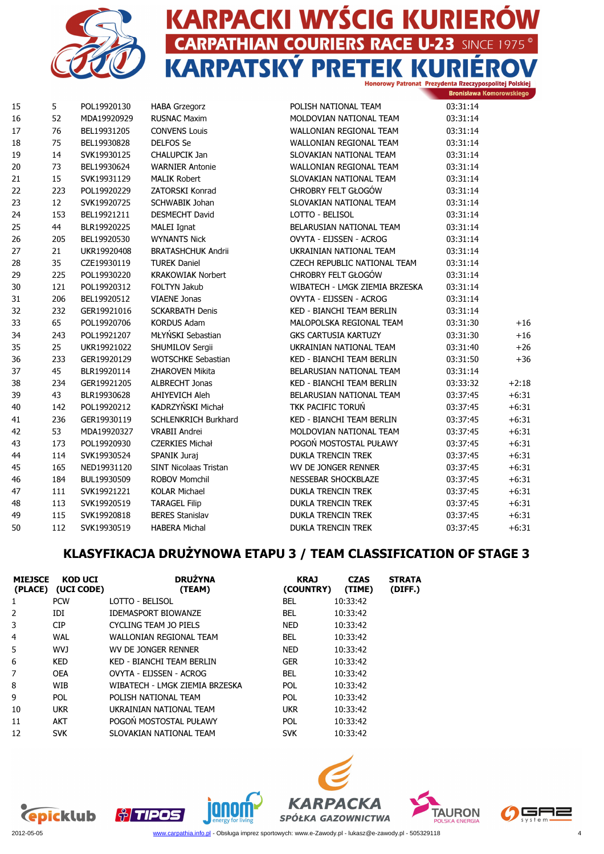

**Bronisława Komorowskiego** 

| 15 | 5   | POL19920130 | <b>HABA Grzegorz</b>         | POLISH NATIONAL TEAM             | 03:31:14 |         |
|----|-----|-------------|------------------------------|----------------------------------|----------|---------|
| 16 | 52  | MDA19920929 | <b>RUSNAC Maxim</b>          | MOLDOVIAN NATIONAL TEAM          | 03:31:14 |         |
| 17 | 76  | BEL19931205 | <b>CONVENS Louis</b>         | <b>WALLONIAN REGIONAL TEAM</b>   | 03:31:14 |         |
| 18 | 75  | BEL19930828 | <b>DELFOS Se</b>             | <b>WALLONIAN REGIONAL TEAM</b>   | 03:31:14 |         |
| 19 | 14  | SVK19930125 | CHALUPCIK Jan                | SLOVAKIAN NATIONAL TEAM          | 03:31:14 |         |
| 20 | 73  | BEL19930624 | <b>WARNIER Antonie</b>       | WALLONIAN REGIONAL TEAM          | 03:31:14 |         |
| 21 | 15  | SVK19931129 | <b>MALIK Robert</b>          | SLOVAKIAN NATIONAL TEAM          | 03:31:14 |         |
| 22 | 223 | POL19920229 | ZATORSKI Konrad              | <b>CHROBRY FELT GŁOGÓW</b>       | 03:31:14 |         |
| 23 | 12  | SVK19920725 | SCHWABIK Johan               | SLOVAKIAN NATIONAL TEAM          | 03:31:14 |         |
| 24 | 153 | BEL19921211 | <b>DESMECHT David</b>        | LOTTO - BELISOL                  | 03:31:14 |         |
| 25 | 44  | BLR19920225 | MALEI Ignat                  | BELARUSIAN NATIONAL TEAM         | 03:31:14 |         |
| 26 | 205 | BEL19920530 | <b>WYNANTS Nick</b>          | OVYTA - EIJSSEN - ACROG          | 03:31:14 |         |
| 27 | 21  | UKR19920408 | <b>BRATASHCHUK Andrii</b>    | UKRAINIAN NATIONAL TEAM          | 03:31:14 |         |
| 28 | 35  | CZE19930119 | <b>TUREK Daniel</b>          | CZECH REPUBLIC NATIONAL TEAM     | 03:31:14 |         |
| 29 | 225 | POL19930220 | <b>KRAKOWIAK Norbert</b>     | CHROBRY FELT GŁOGÓW              | 03:31:14 |         |
| 30 | 121 | POL19920312 | FOLTYN Jakub                 | WIBATECH - LMGK ZIEMIA BRZESKA   | 03:31:14 |         |
| 31 | 206 | BEL19920512 | <b>VIAENE Jonas</b>          | OVYTA - EIJSSEN - ACROG          | 03:31:14 |         |
| 32 | 232 | GER19921016 | <b>SCKARBATH Denis</b>       | <b>KED - BIANCHI TEAM BERLIN</b> | 03:31:14 |         |
| 33 | 65  | POL19920706 | <b>KORDUS Adam</b>           | MALOPOLSKA REGIONAL TEAM         | 03:31:30 | $+16$   |
| 34 | 243 | POL19921207 | MŁYŃSKI Sebastian            | <b>GKS CARTUSIA KARTUZY</b>      | 03:31:30 | $+16$   |
| 35 | 25  | UKR19921022 | SHUMILOV Sergii              | UKRAINIAN NATIONAL TEAM          | 03:31:40 | $+26$   |
| 36 | 233 | GER19920129 | <b>WOTSCHKE Sebastian</b>    | <b>KED - BIANCHI TEAM BERLIN</b> | 03:31:50 | $+36$   |
| 37 | 45  | BLR19920114 | <b>ZHAROVEN Mikita</b>       | BELARUSIAN NATIONAL TEAM         | 03:31:14 |         |
| 38 | 234 | GER19921205 | <b>ALBRECHT Jonas</b>        | <b>KED - BIANCHI TEAM BERLIN</b> | 03:33:32 | $+2:18$ |
| 39 | 43  | BLR19930628 | <b>AHIYEVICH Aleh</b>        | BELARUSIAN NATIONAL TEAM         | 03:37:45 | $+6:31$ |
| 40 | 142 | POL19920212 | KADRZYŃSKI Michał            | TKK PACIFIC TORUŃ                | 03:37:45 | $+6:31$ |
| 41 | 236 | GER19930119 | <b>SCHLENKRICH Burkhard</b>  | <b>KED - BIANCHI TEAM BERLIN</b> | 03:37:45 | $+6:31$ |
| 42 | 53  | MDA19920327 | <b>VRABII Andrei</b>         | MOLDOVIAN NATIONAL TEAM          | 03:37:45 | $+6:31$ |
| 43 | 173 | POL19920930 | <b>CZERKIES Michał</b>       | POGOŃ MOSTOSTAL PUŁAWY           | 03:37:45 | $+6:31$ |
| 44 | 114 | SVK19930524 | SPANIK Juraj                 | <b>DUKLA TRENCIN TREK</b>        | 03:37:45 | $+6:31$ |
| 45 | 165 | NED19931120 | <b>SINT Nicolaas Tristan</b> | WV DE JONGER RENNER              | 03:37:45 | $+6:31$ |
| 46 | 184 | BUL19930509 | <b>ROBOV Momchil</b>         | <b>NESSEBAR SHOCKBLAZE</b>       | 03:37:45 | $+6:31$ |
| 47 | 111 | SVK19921221 | <b>KOLAR Michael</b>         | <b>DUKLA TRENCIN TREK</b>        | 03:37:45 | $+6:31$ |
| 48 | 113 | SVK19920519 | <b>TARAGEL Filip</b>         | <b>DUKLA TRENCIN TREK</b>        | 03:37:45 | $+6:31$ |
| 49 | 115 | SVK19920818 | <b>BERES Stanislav</b>       | <b>DUKLA TRENCIN TREK</b>        | 03:37:45 | $+6:31$ |
| 50 | 112 | SVK19930519 | <b>HABERA Michal</b>         | <b>DUKLA TRENCIN TREK</b>        | 03:37:45 | $+6:31$ |
|    |     |             |                              |                                  |          |         |

# KLASYFIKACJA DRUŻYNOWA ETAPU 3 / TEAM CLASSIFICATION OF STAGE 3

| <b>MIEJSCE</b><br>(PLACE) | KOD UCI<br>(UCI CODE) | <b>DRUŻYNA</b><br>(TEAM)       | <b>KRAJ</b><br>(COUNTRY) | <b>CZAS</b><br>(TIME) | <b>STRATA</b><br>(DIFF.) |
|---------------------------|-----------------------|--------------------------------|--------------------------|-----------------------|--------------------------|
| 1                         | <b>PCW</b>            | LOTTO - BELISOL                | <b>BEL</b>               | 10:33:42              |                          |
| 2                         | IDI                   | <b>IDEMASPORT BIOWANZE</b>     | <b>BEL</b>               | 10:33:42              |                          |
| 3                         | <b>CIP</b>            | <b>CYCLING TEAM JO PIELS</b>   | NED.                     | 10:33:42              |                          |
| 4                         | <b>WAL</b>            | WALLONIAN REGIONAL TEAM        | <b>BEL</b>               | 10:33:42              |                          |
| 5                         | <b>WVJ</b>            | WV DE JONGER RENNER            | NED.                     | 10:33:42              |                          |
| 6                         | <b>KED</b>            | KED - BIANCHI TEAM BERLIN      | <b>GER</b>               | 10:33:42              |                          |
| 7                         | <b>OEA</b>            | OVYTA - EIJSSEN - ACROG        | <b>BEL</b>               | 10:33:42              |                          |
| 8                         | WIB                   | WIBATECH - LMGK ZIEMIA BRZESKA | <b>POL</b>               | 10:33:42              |                          |
| 9                         | <b>POL</b>            | POLISH NATIONAL TEAM           | <b>POL</b>               | 10:33:42              |                          |
| 10                        | <b>UKR</b>            | UKRAINIAN NATIONAL TFAM        | <b>UKR</b>               | 10:33:42              |                          |
| 11                        | <b>AKT</b>            | POGOŃ MOSTOSTAL PUŁAWY         | <b>POL</b>               | 10:33:42              |                          |
| 12                        | <b>SVK</b>            | SLOVAKIAN NATIONAL TEAM        | <b>SVK</b>               | 10:33:42              |                          |









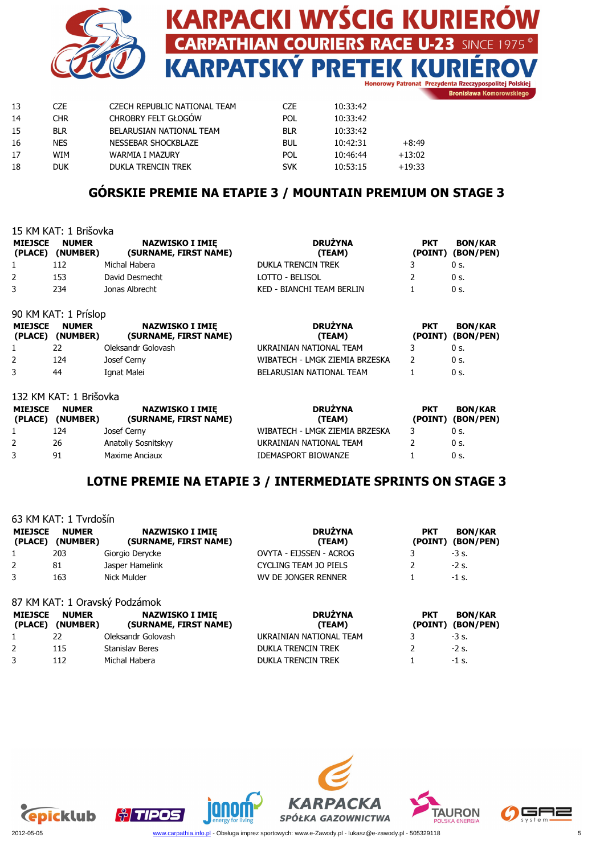

**Bronisława Komorowskiego** 

| 13 | CZE        | CZECH REPUBLIC NATIONAL TEAM | <b>CZE</b> | 10:33:42 |          |
|----|------------|------------------------------|------------|----------|----------|
| 14 | <b>CHR</b> | <b>CHROBRY FELT GŁOGÓW</b>   | <b>POL</b> | 10:33:42 |          |
| 15 | <b>BLR</b> | BELARUSIAN NATIONAL TEAM     | <b>BLR</b> | 10:33:42 |          |
| 16 | <b>NES</b> | NESSEBAR SHOCKBLAZE          | <b>BUL</b> | 10:42:31 | $+8:49$  |
| 17 | <b>WIM</b> | <b>WARMIA I MAZURY</b>       | POL        | 10:46:44 | $+13:02$ |
| 18 | <b>DUK</b> | <b>DUKLA TRENCIN TREK</b>    | <b>SVK</b> | 10:53:15 | $+19:33$ |

# GÓRSKIE PREMIE NA ETAPIE 3 / MOUNTAIN PREMIUM ON STAGE 3

|                           | 15 KM KAT: 1 Brišovka            |                                                 |                                |               |                                     |
|---------------------------|----------------------------------|-------------------------------------------------|--------------------------------|---------------|-------------------------------------|
| <b>MIEJSCE</b><br>(PLACE) | <b>NUMER</b><br>(NUMBER)         | <b>NAZWISKO I IMIE</b><br>(SURNAME, FIRST NAME) | <b>DRUŻYNA</b><br>(TEAM)       | <b>PKT</b>    | <b>BON/KAR</b><br>(POINT) (BON/PEN) |
| 1                         | 112                              | Michal Habera                                   | <b>DUKLA TRENCIN TREK</b>      | 3             | 0 <sub>s</sub>                      |
| 2                         | 153                              | David Desmecht                                  | LOTTO - BELISOL                | 2             | 0 <sub>s</sub>                      |
| 3                         | 234                              | Jonas Albrecht                                  | KED - BIANCHI TEAM BERLIN      |               | 0 <sub>s</sub>                      |
|                           | 90 KM KAT: 1 Príslop             |                                                 |                                |               |                                     |
| <b>MIEJSCE</b><br>(PLACE) | <b>NUMER</b><br>(NUMBER)         | <b>NAZWISKO I IMIE</b><br>(SURNAME, FIRST NAME) | <b>DRUŻYNA</b><br>(TEAM)       | <b>PKT</b>    | <b>BON/KAR</b><br>(POINT) (BON/PEN) |
| 1                         | 22                               | Oleksandr Golovash                              | UKRAINIAN NATIONAL TEAM        | 3             | 0 <sub>s</sub>                      |
|                           | 124                              | Josef Cerny                                     | WIBATECH - LMGK ZIEMIA BRZESKA | $\mathcal{P}$ | 0 <sub>s</sub>                      |
| 3                         | 44                               | Ignat Malei                                     | BELARUSIAN NATIONAL TEAM       |               | $0s$ .                              |
|                           | 132 KM KAT: 1 Brišovka           |                                                 |                                |               |                                     |
| <b>MIEJSCE</b>            | <b>NUMER</b><br>(PLACE) (NUMBER) | <b>NAZWISKO I IMIE</b><br>(SURNAME, FIRST NAME) | <b>DRUŻYNA</b><br>(TEAM)       | <b>PKT</b>    | <b>BON/KAR</b><br>(POINT) (BON/PEN) |
|                           | 124                              | Josef Cerny                                     | WIBATECH - LMGK ZIEMIA BRZESKA | 3             | 0 <sub>s</sub>                      |
|                           | 26                               | Anatoliy Sosnitskyy                             | UKRAINIAN NATIONAL TEAM        |               | 0 <sub>s</sub>                      |

3 91 Maxime Anciaux **IDEMASPORT BIOWANZE** 1 0 s.

### LOTNE PREMIE NA ETAPIE 3 / INTERMEDIATE SPRINTS ON STAGE 3

|                           | 63 KM KAT: 1 Tvrdošín    |                                                 |                              |                       |                                     |
|---------------------------|--------------------------|-------------------------------------------------|------------------------------|-----------------------|-------------------------------------|
| <b>MIEJSCE</b><br>(PLACE) | <b>NUMER</b><br>(NUMBER) | <b>NAZWISKO I IMIE</b><br>(SURNAME, FIRST NAME) | <b>DRUŻYNA</b><br>(TEAM)     | <b>PKT</b><br>(POINT) | <b>BON/KAR</b><br>(BON/PEN)         |
| $\mathbf{1}$              | 203                      | Giorgio Derycke                                 | OVYTA - EIJSSEN - ACROG      |                       | $-3$ s.                             |
| $\overline{2}$            | 81                       | Jasper Hamelink                                 | <b>CYCLING TEAM JO PIELS</b> |                       | $-2$ s.                             |
| 3                         | 163                      | Nick Mulder                                     | WV DE JONGER RENNER          |                       | $-1$ s.                             |
|                           |                          | 87 KM KAT: 1 Oravský Podzámok                   |                              |                       |                                     |
| <b>MIEJSCE</b><br>(PLACE) | <b>NUMER</b><br>(NUMBER) | <b>NAZWISKO I IMIE</b><br>(SURNAME, FIRST NAME) | <b>DRUŻYNA</b><br>(TEAM)     | <b>PKT</b>            | <b>BON/KAR</b><br>(POINT) (BON/PEN) |
| 1                         | 22                       | Oleksandr Golovash                              | UKRAINIAN NATIONAL TEAM      | 3                     | $-3$ s.                             |
| $\overline{2}$            | 115                      | <b>Stanislav Beres</b>                          | <b>DUKLA TRENCIN TREK</b>    |                       | $-2$ s.                             |
| 3                         | 112                      | Michal Habera                                   | <b>DUKLA TRENCIN TREK</b>    |                       | $-1$ s.                             |









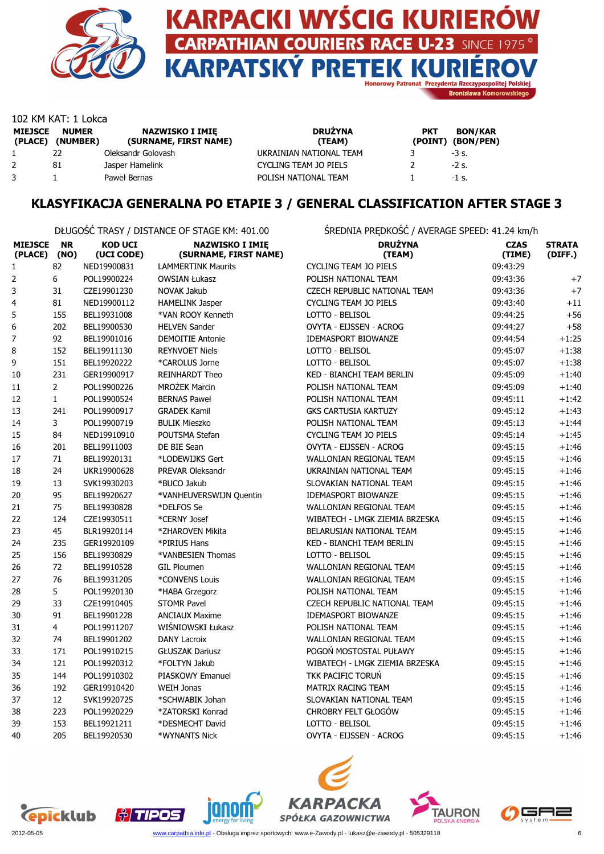

nat Prezydenta Rzeczypospolitej Polskiej **Bronisława Komorowskiego** 

|                           | 102 KM KAT: 1 Lokca      |                                                 |                          |            |                                     |  |  |
|---------------------------|--------------------------|-------------------------------------------------|--------------------------|------------|-------------------------------------|--|--|
| <b>MIEJSCE</b><br>(PLACE) | <b>NUMER</b><br>(NUMBER) | <b>NAZWISKO I IMIE</b><br>(SURNAME, FIRST NAME) | <b>DRUŻYNA</b><br>(TEAM) | <b>PKT</b> | <b>BON/KAR</b><br>(POINT) (BON/PEN) |  |  |
|                           | 22                       | Oleksandr Golovash                              | UKRAINIAN NATIONAL TEAM  |            | -3 s.                               |  |  |
|                           | 81                       | Jasper Hamelink                                 | CYCLING TEAM JO PIELS    |            | $-2$ s.                             |  |  |
|                           |                          | Paweł Bernas                                    | POLISH NATIONAL TEAM     |            | $-1$ s.                             |  |  |

### KLASYFIKACJA GENERALNA PO ETAPIE 3 / GENERAL CLASSIFICATION AFTER STAGE 3

DŁUGOŚĆ TRASY / DISTANCE OF STAGE KM: 401.00 ŚREDNIA PRĘDKOŚĆ / AVERAGE SPEED: 41.24 km/h

| <b>MIEJSCE</b><br>(PLACE) | <b>NR</b><br>(NO) | <b>KOD UCI</b><br>(UCI CODE) | <b>NAZWISKO I IMIĘ</b><br>(SURNAME, FIRST NAME) | <b>DRUŻYNA</b><br>(TEAM)         | <b>CZAS</b><br>(TIME) | <b>STRATA</b><br>(DIFF.) |
|---------------------------|-------------------|------------------------------|-------------------------------------------------|----------------------------------|-----------------------|--------------------------|
| 1                         | 82                | NED19900831                  | <b>LAMMERTINK Maurits</b>                       | <b>CYCLING TEAM JO PIELS</b>     | 09:43:29              |                          |
| $\overline{2}$            | 6                 | POL19900224                  | <b>OWSIAN Łukasz</b>                            | POLISH NATIONAL TEAM             | 09:43:36              | $+7$                     |
| 3                         | 31                | CZE19901230                  | NOVAK Jakub                                     | CZECH REPUBLIC NATIONAL TEAM     | 09:43:36              | $+7$                     |
| $\overline{4}$            | 81                | NED19900112                  | <b>HAMELINK Jasper</b>                          | <b>CYCLING TEAM JO PIELS</b>     | 09:43:40              | $+11$                    |
| 5                         | 155               | BEL19931008                  | *VAN ROOY Kenneth                               | LOTTO - BELISOL                  | 09:44:25              | $+56$                    |
| 6                         | 202               | BEL19900530                  | <b>HELVEN Sander</b>                            | OVYTA - EIJSSEN - ACROG          | 09:44:27              | $+58$                    |
| $\boldsymbol{7}$          | 92                | BEL19901016                  | <b>DEMOITIE Antonie</b>                         | <b>IDEMASPORT BIOWANZE</b>       | 09:44:54              | $+1:25$                  |
| 8                         | 152               | BEL19911130                  | <b>REYNVOET Niels</b>                           | LOTTO - BELISOL                  | 09:45:07              | $+1:38$                  |
| 9                         | 151               | BEL19920222                  | *CAROLUS Jorne                                  | LOTTO - BELISOL                  | 09:45:07              | $+1:38$                  |
| 10                        | 231               | GER19900917                  | <b>REINHARDT Theo</b>                           | <b>KED - BIANCHI TEAM BERLIN</b> | 09:45:09              | $+1:40$                  |
| 11                        | $\overline{2}$    | POL19900226                  | <b>MROŻEK Marcin</b>                            | POLISH NATIONAL TEAM             | 09:45:09              | $+1:40$                  |
| 12                        | $\mathbf{1}$      | POL19900524                  | <b>BERNAS Paweł</b>                             | POLISH NATIONAL TEAM             | 09:45:11              | $+1:42$                  |
| 13                        | 241               | POL19900917                  | <b>GRADEK Kamil</b>                             | <b>GKS CARTUSIA KARTUZY</b>      | 09:45:12              | $+1:43$                  |
| 14                        | 3                 | POL19900719                  | <b>BULIK Mieszko</b>                            | POLISH NATIONAL TEAM             | 09:45:13              | $+1:44$                  |
| 15                        | 84                | NED19910910                  | POUTSMA Stefan                                  | <b>CYCLING TEAM JO PIELS</b>     | 09:45:14              | $+1:45$                  |
| 16                        | 201               | BEL19911003                  | DE BIE Sean                                     | OVYTA - EIJSSEN - ACROG          | 09:45:15              | $+1:46$                  |
| 17                        | 71                | BEL19920131                  | *LODEWIJKS Gert                                 | WALLONIAN REGIONAL TEAM          | 09:45:15              | $+1:46$                  |
| 18                        | 24                | UKR19900628                  | PREVAR Oleksandr                                | UKRAINIAN NATIONAL TEAM          | 09:45:15              | $+1:46$                  |
| 19                        | 13                | SVK19930203                  | *BUCO Jakub                                     | SLOVAKIAN NATIONAL TEAM          | 09:45:15              | $+1:46$                  |
| 20                        | 95                | BEL19920627                  | *VANHEUVERSWIJN Quentin                         | <b>IDEMASPORT BIOWANZE</b>       | 09:45:15              | $+1:46$                  |
| 21                        | 75                | BEL19930828                  | *DELFOS Se                                      | WALLONIAN REGIONAL TEAM          | 09:45:15              | $+1:46$                  |
| 22                        | 124               | CZE19930511                  | *CERNY Josef                                    | WIBATECH - LMGK ZIEMIA BRZESKA   | 09:45:15              | $+1:46$                  |
| 23                        | 45                | BLR19920114                  | *ZHAROVEN Mikita                                | BELARUSIAN NATIONAL TEAM         | 09:45:15              | $+1:46$                  |
| 24                        | 235               | GER19920109                  | *PIRIUS Hans                                    | <b>KED - BIANCHI TEAM BERLIN</b> | 09:45:15              | $+1:46$                  |
| 25                        | 156               | BEL19930829                  | *VANBESIEN Thomas                               | LOTTO - BELISOL                  | 09:45:15              | $+1:46$                  |
| 26                        | 72                | BEL19910528                  | <b>GIL Ploumen</b>                              | WALLONIAN REGIONAL TEAM          | 09:45:15              | $+1:46$                  |
| 27                        | 76                | BEL19931205                  | *CONVENS Louis                                  | WALLONIAN REGIONAL TEAM          | 09:45:15              | $+1:46$                  |
| 28                        | 5                 | POL19920130                  | *HABA Grzegorz                                  | POLISH NATIONAL TEAM             | 09:45:15              | $+1:46$                  |
| 29                        | 33                | CZE19910405                  | <b>STOMR Pavel</b>                              | CZECH REPUBLIC NATIONAL TEAM     | 09:45:15              | $+1:46$                  |
| 30                        | 91                | BEL19901228                  | <b>ANCIAUX Maxime</b>                           | <b>IDEMASPORT BIOWANZE</b>       | 09:45:15              | $+1:46$                  |
| 31                        | 4                 | POL19911207                  | WIŚNIOWSKI Łukasz                               | POLISH NATIONAL TEAM             | 09:45:15              | $+1:46$                  |
| 32                        | 74                | BEL19901202                  | <b>DANY Lacroix</b>                             | WALLONIAN REGIONAL TEAM          | 09:45:15              | $+1:46$                  |
| 33                        | 171               | POL19910215                  | <b>GŁUSZAK Dariusz</b>                          | POGOŃ MOSTOSTAL PUŁAWY           | 09:45:15              | $+1:46$                  |
| 34                        | 121               | POL19920312                  | *FOLTYN Jakub                                   | WIBATECH - LMGK ZIEMIA BRZESKA   | 09:45:15              | $+1:46$                  |
| 35                        | 144               | POL19910302                  | <b>PIASKOWY Emanuel</b>                         | <b>TKK PACIFIC TORUŃ</b>         | 09:45:15              | $+1:46$                  |
| 36                        | 192               | GER19910420                  | <b>WEIH Jonas</b>                               | MATRIX RACING TEAM               | 09:45:15              | $+1:46$                  |
| 37                        | 12                | SVK19920725                  | *SCHWABIK Johan                                 | SLOVAKIAN NATIONAL TEAM          | 09:45:15              | $+1:46$                  |
| 38                        | 223               | POL19920229                  | *ZATORSKI Konrad                                | CHROBRY FELT GŁOGÓW              | 09:45:15              | $+1:46$                  |
| 39                        | 153               | BEL19921211                  | *DESMECHT David                                 | LOTTO - BELISOL                  | 09:45:15              | $+1:46$                  |
| 40                        | 205               | BEL19920530                  | *WYNANTS Nick                                   | OVYTA - EIJSSEN - ACROG          | 09:45:15              | $+1:46$                  |









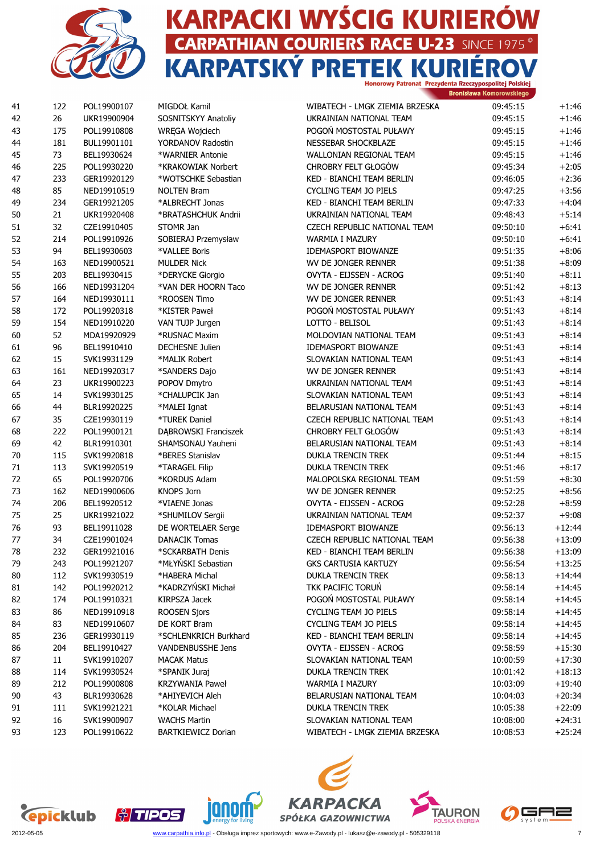

# **KARPACKI WYŚCIG KURIERÓW CARPATHIAN COURIERS RACE U-23 SINCE 1975<sup>°</sup> KARPATSKÝ PRETEK KURI** EI P.

rowy Patronat Prezydenta Rzeczypospolitej Polskiej Bronisława Komorowskiego

| 41     | 122 | POL19900107 | MIGDOŁ Kamil              | WIBATECH - LMGK ZIEMIA BRZESKA   | 09:45:15 | $+1:46$  |
|--------|-----|-------------|---------------------------|----------------------------------|----------|----------|
| 42     | 26  | UKR19900904 | SOSNITSKYY Anatoliy       | UKRAINIAN NATIONAL TEAM          | 09:45:15 | $+1:46$  |
| 43     | 175 | POL19910808 | <b>WREGA Wojciech</b>     | POGOŃ MOSTOSTAL PUŁAWY           | 09:45:15 | $+1:46$  |
| 44     | 181 | BUL19901101 | YORDANOV Radostin         | <b>NESSEBAR SHOCKBLAZE</b>       | 09:45:15 | $+1:46$  |
| 45     | 73  | BEL19930624 | *WARNIER Antonie          | WALLONIAN REGIONAL TEAM          | 09:45:15 | $+1:46$  |
| 46     | 225 | POL19930220 | *KRAKOWIAK Norbert        | CHROBRY FELT GŁOGÓW              | 09:45:34 | $+2:05$  |
| 47     | 233 | GER19920129 | *WOTSCHKE Sebastian       | KED - BIANCHI TEAM BERLIN        | 09:46:05 | $+2:36$  |
| 48     | 85  | NED19910519 | <b>NOLTEN Bram</b>        | <b>CYCLING TEAM JO PIELS</b>     | 09:47:25 | $+3:56$  |
| 49     | 234 | GER19921205 | *ALBRECHT Jonas           | <b>KED - BIANCHI TEAM BERLIN</b> | 09:47:33 | $+4:04$  |
| 50     | 21  | UKR19920408 | *BRATASHCHUK Andrii       | UKRAINIAN NATIONAL TEAM          | 09:48:43 | $+5:14$  |
| 51     | 32  | CZE19910405 | STOMR Jan                 | CZECH REPUBLIC NATIONAL TEAM     | 09:50:10 | $+6:41$  |
| 52     | 214 | POL19910926 | SOBIERAJ Przemysław       | WARMIA I MAZURY                  | 09:50:10 | $+6:41$  |
| 53     | 94  | BEL19930603 | *VALLEE Boris             | <b>IDEMASPORT BIOWANZE</b>       | 09:51:35 | $+8:06$  |
| 54     | 163 | NED19900521 | <b>MULDER Nick</b>        | WV DE JONGER RENNER              | 09:51:38 | $+8:09$  |
| 55     | 203 | BEL19930415 | *DERYCKE Giorgio          | OVYTA - EIJSSEN - ACROG          | 09:51:40 | $+8:11$  |
|        |     | NED19931204 | *VAN DER HOORN Taco       | WV DE JONGER RENNER              |          | $+8:13$  |
| 56     | 166 |             |                           |                                  | 09:51:42 |          |
| 57     | 164 | NED19930111 | *ROOSEN Timo              | WV DE JONGER RENNER              | 09:51:43 | $+8:14$  |
| 58     | 172 | POL19920318 | *KISTER Paweł             | POGOŃ MOSTOSTAL PUŁAWY           | 09:51:43 | $+8:14$  |
| 59     | 154 | NED19910220 | VAN TUJP Jurgen           | LOTTO - BELISOL                  | 09:51:43 | $+8:14$  |
| 60     | 52  | MDA19920929 | *RUSNAC Maxim             | MOLDOVIAN NATIONAL TEAM          | 09:51:43 | $+8:14$  |
| 61     | 96  | BEL19910410 | <b>DECHESNE Julien</b>    | <b>IDEMASPORT BIOWANZE</b>       | 09:51:43 | $+8:14$  |
| 62     | 15  | SVK19931129 | *MALIK Robert             | SLOVAKIAN NATIONAL TEAM          | 09:51:43 | $+8:14$  |
| 63     | 161 | NED19920317 | *SANDERS Dajo             | WV DE JONGER RENNER              | 09:51:43 | $+8:14$  |
| 64     | 23  | UKR19900223 | POPOV Dmytro              | UKRAINIAN NATIONAL TEAM          | 09:51:43 | $+8:14$  |
| 65     | 14  | SVK19930125 | *CHALUPCIK Jan            | SLOVAKIAN NATIONAL TEAM          | 09:51:43 | $+8:14$  |
| 66     | 44  | BLR19920225 | *MALEI Ignat              | BELARUSIAN NATIONAL TEAM         | 09:51:43 | $+8:14$  |
| 67     | 35  | CZE19930119 | *TUREK Daniel             | CZECH REPUBLIC NATIONAL TEAM     | 09:51:43 | $+8:14$  |
| 68     | 222 | POL19900121 | DĄBROWSKI Franciszek      | CHROBRY FELT GŁOGÓW              | 09:51:43 | $+8:14$  |
| 69     | 42  | BLR19910301 | SHAMSONAU Yauheni         | BELARUSIAN NATIONAL TEAM         | 09:51:43 | $+8:14$  |
| $70\,$ | 115 | SVK19920818 | *BERES Stanislav          | <b>DUKLA TRENCIN TREK</b>        | 09:51:44 | $+8:15$  |
| $71\,$ | 113 | SVK19920519 | *TARAGEL Filip            | <b>DUKLA TRENCIN TREK</b>        | 09:51:46 | $+8:17$  |
| 72     | 65  | POL19920706 | *KORDUS Adam              | MALOPOLSKA REGIONAL TEAM         | 09:51:59 | $+8:30$  |
| 73     | 162 | NED19900606 | <b>KNOPS Jorn</b>         | WV DE JONGER RENNER              | 09:52:25 | $+8:56$  |
| 74     | 206 | BEL19920512 | *VIAENE Jonas             | OVYTA - EIJSSEN - ACROG          | 09:52:28 | $+8:59$  |
| 75     | 25  | UKR19921022 | *SHUMILOV Sergii          | UKRAINIAN NATIONAL TEAM          | 09:52:37 | $+9:08$  |
| 76     | 93  | BEL19911028 | DE WORTELAER Serge        | <b>IDEMASPORT BIOWANZE</b>       | 09:56:13 | $+12:44$ |
| $77$   | 34  | CZE19901024 | <b>DANACIK Tomas</b>      | CZECH REPUBLIC NATIONAL TEAM     | 09:56:38 | $+13:09$ |
| 78     | 232 | GER19921016 | *SCKARBATH Denis          | KED - BIANCHI TEAM BERLIN        | 09:56:38 | $+13:09$ |
| 79     | 243 | POL19921207 | *MŁYŃSKI Sebastian        | <b>GKS CARTUSIA KARTUZY</b>      | 09:56:54 | $+13:25$ |
| 80     | 112 | SVK19930519 | *HABERA Michal            | <b>DUKLA TRENCIN TREK</b>        | 09:58:13 | $+14.44$ |
| 81     | 142 | POL19920212 | *KADRZYŃSKI Michał        | TKK PACIFIC TORUŃ                | 09:58:14 | $+14:45$ |
| 82     | 174 | POL19910321 | KIRPSZA Jacek             | POGOŃ MOSTOSTAL PUŁAWY           | 09:58:14 | $+14:45$ |
| 83     | 86  | NED19910918 | <b>ROOSEN Sjors</b>       | CYCLING TEAM JO PIELS            | 09:58:14 | $+14:45$ |
| 84     | 83  | NED19910607 | DE KORT Bram              | <b>CYCLING TEAM JO PIELS</b>     | 09:58:14 | $+14:45$ |
|        | 236 | GER19930119 | *SCHLENKRICH Burkhard     | KED - BIANCHI TEAM BERLIN        | 09:58:14 | $+14:45$ |
| 85     |     |             |                           | OVYTA - EIJSSEN - ACROG          |          | $+15:30$ |
| 86     | 204 | BEL19910427 | <b>VANDENBUSSHE Jens</b>  |                                  | 09:58:59 |          |
| 87     | 11  | SVK19910207 | <b>MACAK Matus</b>        | SLOVAKIAN NATIONAL TEAM          | 10:00:59 | $+17:30$ |
| 88     | 114 | SVK19930524 | *SPANIK Juraj             | DUKLA TRENCIN TREK               | 10:01:42 | $+18:13$ |
| 89     | 212 | POL19900808 | <b>KRZYWANIA Paweł</b>    | WARMIA I MAZURY                  | 10:03:09 | $+19:40$ |
| 90     | 43  | BLR19930628 | *AHIYEVICH Aleh           | BELARUSIAN NATIONAL TEAM         | 10:04:03 | $+20:34$ |
| 91     | 111 | SVK19921221 | *KOLAR Michael            | DUKLA TRENCIN TREK               | 10:05:38 | $+22:09$ |
| 92     | 16  | SVK19900907 | <b>WACHS Martin</b>       | SLOVAKIAN NATIONAL TEAM          | 10:08:00 | $+24:31$ |
| 93     | 123 | POL19910622 | <b>BARTKIEWICZ Dorian</b> | WIBATECH - LMGK ZIEMIA BRZESKA   | 10:08:53 | $+25:24$ |
|        |     |             |                           |                                  |          |          |









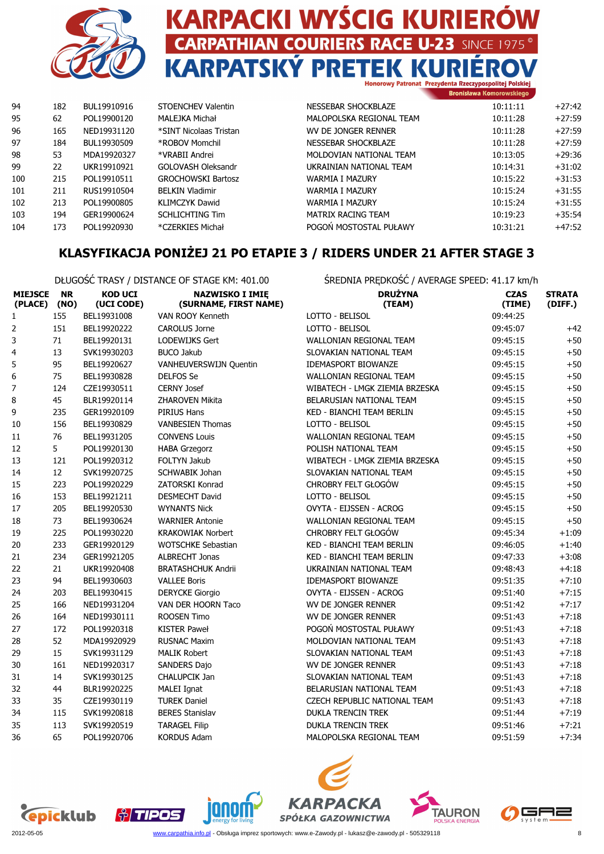

| at Prezydenta Rzeczypospolitej Polskiej. |
|------------------------------------------|
| <b>Denniclasua Kompressuelringen</b>     |

| 94  | 182 | BUL19910916 | STOENCHEV Valentin        | NESSEBAR SHOCKBLAZE      | 10:11:11 | $+27:42$ |
|-----|-----|-------------|---------------------------|--------------------------|----------|----------|
| 95  | 62  | POL19900120 | MALEJKA Michał            | MALOPOLSKA REGIONAL TEAM | 10:11:28 | $+27:59$ |
| 96  | 165 | NED19931120 | *SINT Nicolaas Tristan    | WV DE JONGER RENNER      | 10:11:28 | $+27:59$ |
| 97  | 184 | BUL19930509 | *ROBOV Momchil            | NESSEBAR SHOCKBLAZE      | 10:11:28 | $+27:59$ |
| 98  | 53  | MDA19920327 | *VRABII Andrei            | MOLDOVIAN NATIONAL TEAM  | 10:13:05 | $+29:36$ |
| 99  | 22  | UKR19910921 | <b>GOLOVASH Oleksandr</b> | UKRAINIAN NATIONAL TEAM  | 10:14:31 | $+31:02$ |
| 100 | 215 | POL19910511 | <b>GROCHOWSKI Bartosz</b> | WARMIA I MAZURY          | 10:15:22 | $+31:53$ |
| 101 | 211 | RUS19910504 | <b>BELKIN Vladimir</b>    | WARMIA I MAZURY          | 10:15:24 | $+31:55$ |
| 102 | 213 | POL19900805 | <b>KLIMCZYK Dawid</b>     | <b>WARMIA I MAZURY</b>   | 10:15:24 | $+31:55$ |
| 103 | 194 | GER19900624 | <b>SCHLICHTING Tim</b>    | MATRIX RACING TEAM       | 10:19:23 | $+35:54$ |
| 104 | 173 | POL19920930 | *CZERKIES Michał          | POGON MOSTOSTAL PUŁAWY   | 10:31:21 | $+47:52$ |
|     |     |             |                           |                          |          |          |

# KLASYFIKACJA PONIŻEJ 21 PO ETAPIE 3 / RIDERS UNDER 21 AFTER STAGE 3

|                           |                   |                              | DŁUGOŚĆ TRASY / DISTANCE OF STAGE KM: 401.00    | ŚREDNIA PRĘDKOŚĆ / AVERAGE SPEED: 41.17 km/h |                       |                          |
|---------------------------|-------------------|------------------------------|-------------------------------------------------|----------------------------------------------|-----------------------|--------------------------|
| <b>MIEJSCE</b><br>(PLACE) | <b>NR</b><br>(NO) | <b>KOD UCI</b><br>(UCI CODE) | <b>NAZWISKO I IMIĘ</b><br>(SURNAME, FIRST NAME) | <b>DRUŻYNA</b><br>(TEAM)                     | <b>CZAS</b><br>(TIME) | <b>STRATA</b><br>(DIFF.) |
| $\mathbf{1}$              | 155               | BEL19931008                  | VAN ROOY Kenneth                                | LOTTO - BELISOL                              | 09:44:25              |                          |
| 2                         | 151               | BEL19920222                  | <b>CAROLUS Jorne</b>                            | LOTTO - BELISOL                              | 09:45:07              | $+42$                    |
| 3                         | 71                | BEL19920131                  | LODEWIJKS Gert                                  | WALLONIAN REGIONAL TEAM                      | 09:45:15              | $+50$                    |
| 4                         | 13                | SVK19930203                  | <b>BUCO Jakub</b>                               | SLOVAKIAN NATIONAL TEAM                      | 09:45:15              | $+50$                    |
| 5                         | 95                | BEL19920627                  | VANHEUVERSWIJN Quentin                          | <b>IDEMASPORT BIOWANZE</b>                   | 09:45:15              | $+50$                    |
| 6                         | 75                | BEL19930828                  | DELFOS Se                                       | WALLONIAN REGIONAL TEAM                      | 09:45:15              | $+50$                    |
| 7                         | 124               | CZE19930511                  | <b>CERNY Josef</b>                              | WIBATECH - LMGK ZIEMIA BRZESKA               | 09:45:15              | $+50$                    |
| 8                         | 45                | BLR19920114                  | ZHAROVEN Mikita                                 | BELARUSIAN NATIONAL TEAM                     | 09:45:15              | $+50$                    |
| 9                         | 235               | GER19920109                  | PIRIUS Hans                                     | KED - BIANCHI TEAM BERLIN                    | 09:45:15              | $+50$                    |
| 10                        | 156               | BEL19930829                  | <b>VANBESIEN Thomas</b>                         | LOTTO - BELISOL                              | 09:45:15              | $+50$                    |
| 11                        | 76                | BEL19931205                  | <b>CONVENS Louis</b>                            | WALLONIAN REGIONAL TEAM                      | 09:45:15              | $+50$                    |
| 12                        | 5                 | POL19920130                  | <b>HABA Grzegorz</b>                            | POLISH NATIONAL TEAM                         | 09:45:15              | $+50$                    |
| 13                        | 121               | POL19920312                  | FOLTYN Jakub                                    | WIBATECH - LMGK ZIEMIA BRZESKA               | 09:45:15              | $+50$                    |
| 14                        | 12                | SVK19920725                  | <b>SCHWABIK Johan</b>                           | SLOVAKIAN NATIONAL TEAM                      | 09:45:15              | $+50$                    |
| 15                        | 223               | POL19920229                  | <b>ZATORSKI Konrad</b>                          | CHROBRY FELT GŁOGÓW                          | 09:45:15              | $+50$                    |
| 16                        | 153               | BEL19921211                  | <b>DESMECHT David</b>                           | LOTTO - BELISOL                              | 09:45:15              | $+50$                    |
| 17                        | 205               | BEL19920530                  | <b>WYNANTS Nick</b>                             | OVYTA - EIJSSEN - ACROG                      | 09:45:15              | $+50$                    |
| 18                        | 73                | BEL19930624                  | <b>WARNIER Antonie</b>                          | <b>WALLONIAN REGIONAL TEAM</b>               | 09:45:15              | $+50$                    |
| 19                        | 225               | POL19930220                  | <b>KRAKOWIAK Norbert</b>                        | <b>CHROBRY FELT GŁOGÓW</b>                   | 09:45:34              | $+1:09$                  |
| 20                        | 233               | GER19920129                  | <b>WOTSCHKE Sebastian</b>                       | <b>KED - BIANCHI TEAM BERLIN</b>             | 09:46:05              | $+1:40$                  |
| 21                        | 234               | GER19921205                  | <b>ALBRECHT Jonas</b>                           | KED - BIANCHI TEAM BERLIN                    | 09:47:33              | $+3:08$                  |
| 22                        | 21                | UKR19920408                  | <b>BRATASHCHUK Andrii</b>                       | UKRAINIAN NATIONAL TEAM                      | 09:48:43              | $+4:18$                  |
| 23                        | 94                | BEL19930603                  | <b>VALLEE Boris</b>                             | <b>IDEMASPORT BIOWANZE</b>                   | 09:51:35              | $+7:10$                  |
| 24                        | 203               | BEL19930415                  | <b>DERYCKE Giorgio</b>                          | OVYTA - EIJSSEN - ACROG                      | 09:51:40              | $+7:15$                  |
| 25                        | 166               | NED19931204                  | VAN DER HOORN Taco                              | WV DE JONGER RENNER                          | 09:51:42              | $+7:17$                  |
| 26                        | 164               | NED19930111                  | ROOSEN Timo                                     | WV DE JONGER RENNER                          | 09:51:43              | $+7:18$                  |
| 27                        | 172               | POL19920318                  | <b>KISTER Paweł</b>                             | POGOŃ MOSTOSTAL PUŁAWY                       | 09:51:43              | $+7:18$                  |
| 28                        | 52                | MDA19920929                  | <b>RUSNAC Maxim</b>                             | MOLDOVIAN NATIONAL TEAM                      | 09:51:43              | $+7:18$                  |
| 29                        | 15                | SVK19931129                  | <b>MALIK Robert</b>                             | SLOVAKIAN NATIONAL TEAM                      | 09:51:43              | $+7:18$                  |
| 30                        | 161               | NED19920317                  | SANDERS Dajo                                    | WV DE JONGER RENNER                          | 09:51:43              | $+7:18$                  |
| 31                        | 14                | SVK19930125                  | CHALUPCIK Jan                                   | SLOVAKIAN NATIONAL TEAM                      | 09:51:43              | $+7:18$                  |
| 32                        | 44                | BLR19920225                  | <b>MALEI Ignat</b>                              | BELARUSIAN NATIONAL TEAM                     | 09:51:43              | $+7:18$                  |
| 33                        | 35                | CZE19930119                  | <b>TUREK Daniel</b>                             | CZECH REPUBLIC NATIONAL TEAM                 | 09:51:43              | $+7:18$                  |
| 34                        | 115               | SVK19920818                  | <b>BERES Stanislav</b>                          | <b>DUKLA TRENCIN TREK</b>                    | 09:51:44              | $+7:19$                  |
| 35                        | 113               | SVK19920519                  | <b>TARAGEL Filip</b>                            | <b>DUKLA TRENCIN TREK</b>                    | 09:51:46              | $+7:21$                  |
| 36                        | 65                | POL19920706                  | <b>KORDUS Adam</b>                              | MALOPOLSKA REGIONAL TEAM                     | 09:51:59              | $+7:34$                  |









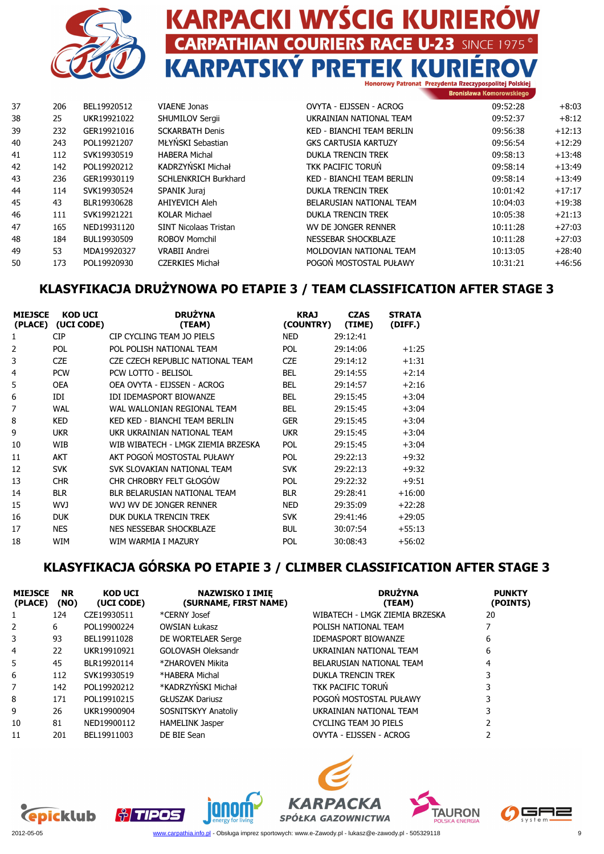

| Prezydenia Kzeczypospolitej Polskiej |  |
|--------------------------------------|--|
| <b>Rraniclawa Kamarawekiana</b>      |  |

| 37 | 206 | BEL19920512 | VIAENE Jonas                | OVYTA - ELISSEN - ACROG     | 09:52:28 | $+8:03$  |
|----|-----|-------------|-----------------------------|-----------------------------|----------|----------|
| 38 | 25  | UKR19921022 | <b>SHUMILOV Sergii</b>      | UKRAINIAN NATIONAL TEAM     | 09:52:37 | $+8:12$  |
| 39 | 232 | GER19921016 | <b>SCKARBATH Denis</b>      | KED - BIANCHI TEAM BERLIN   | 09:56:38 | $+12:13$ |
| 40 | 243 | POL19921207 | MŁYŃSKI Sebastian           | <b>GKS CARTUSIA KARTUZY</b> | 09:56:54 | $+12:29$ |
| 41 | 112 | SVK19930519 | <b>HABERA Michal</b>        | <b>DUKLA TRENCIN TREK</b>   | 09:58:13 | $+13:48$ |
| 42 | 142 | POL19920212 | KADRZYŃSKI Michał           | TKK PACIFIC TORUN           | 09:58:14 | $+13:49$ |
| 43 | 236 | GER19930119 | <b>SCHLENKRICH Burkhard</b> | KED - BIANCHI TEAM BERLIN   | 09:58:14 | $+13:49$ |
| 44 | 114 | SVK19930524 | SPANIK Juraj                | <b>DUKLA TRENCIN TREK</b>   | 10:01:42 | $+17:17$ |
| 45 | 43  | BLR19930628 | AHIYEVICH Aleh              | BELARUSIAN NATIONAL TEAM    | 10:04:03 | $+19:38$ |
| 46 | 111 | SVK19921221 | <b>KOLAR Michael</b>        | <b>DUKLA TRENCIN TREK</b>   | 10:05:38 | $+21:13$ |
| 47 | 165 | NED19931120 | SINT Nicolaas Tristan       | WV DE JONGER RENNER         | 10:11:28 | $+27:03$ |
| 48 | 184 | BUL19930509 | ROBOV Momchil               | NESSEBAR SHOCKBLAZE         | 10:11:28 | $+27:03$ |
| 49 | 53  | MDA19920327 | <b>VRABII Andrei</b>        | MOLDOVIAN NATIONAL TEAM     | 10:13:05 | $+28:40$ |
| 50 | 173 | POL19920930 | <b>CZERKIES Michał</b>      | POGOŃ MOSTOSTAL PUŁAWY      | 10:31:21 | $+46:56$ |
|    |     |             |                             |                             |          |          |

# KLASYFIKACJA DRUŻYNOWA PO ETAPIE 3 / TEAM CLASSIFICATION AFTER STAGE 3

| <b>MIEJSCE</b><br>(PLACE) | <b>KOD UCI</b><br>(UCI CODE) | <b>DRUŻYNA</b><br>(TEAM)           | <b>KRAJ</b><br>(COUNTRY) | <b>CZAS</b><br>(TIME) | <b>STRATA</b><br>(DIFF.) |
|---------------------------|------------------------------|------------------------------------|--------------------------|-----------------------|--------------------------|
| 1                         | <b>CIP</b>                   | CIP CYCLING TEAM JO PIELS          | <b>NED</b>               | 29:12:41              |                          |
| 2                         | POL                          | POL POLISH NATIONAL TEAM           | <b>POL</b>               | 29:14:06              | $+1:25$                  |
| 3                         | <b>CZE</b>                   | CZE CZECH REPUBLIC NATIONAL TEAM   | CZE                      | 29:14:12              | $+1:31$                  |
| 4                         | <b>PCW</b>                   | PCW LOTTO - BELISOL                | BEL                      | 29:14:55              | $+2:14$                  |
| 5                         | <b>OEA</b>                   | OEA OVYTA - EIJSSEN - ACROG        | BEL                      | 29:14:57              | $+2:16$                  |
| 6                         | IDI                          | IDI IDEMASPORT BIOWANZE            | BEL                      | 29:15:45              | $+3:04$                  |
| 7                         | <b>WAL</b>                   | WAL WALLONIAN REGIONAL TEAM        | <b>BEL</b>               | 29:15:45              | $+3:04$                  |
| 8                         | <b>KED</b>                   | KED KED - BIANCHI TEAM BERLIN      | <b>GER</b>               | 29:15:45              | $+3:04$                  |
| 9                         | <b>UKR</b>                   | UKR UKRAINIAN NATIONAL TEAM        | <b>UKR</b>               | 29:15:45              | $+3:04$                  |
| 10                        | <b>WIB</b>                   | WIB WIBATECH - LMGK ZIEMIA BRZESKA | <b>POL</b>               | 29:15:45              | $+3:04$                  |
| 11                        | <b>AKT</b>                   | AKT POGOŃ MOSTOSTAL PUŁAWY         | <b>POL</b>               | 29:22:13              | $+9:32$                  |
| 12                        | <b>SVK</b>                   | SVK SLOVAKIAN NATIONAL TEAM        | <b>SVK</b>               | 29:22:13              | $+9:32$                  |
| 13                        | <b>CHR</b>                   | CHR CHROBRY FELT GŁOGÓW            | <b>POL</b>               | 29:22:32              | $+9:51$                  |
| 14                        | <b>BLR</b>                   | BLR BELARUSIAN NATIONAL TEAM       | <b>BLR</b>               | 29:28:41              | $+16:00$                 |
| 15                        | <b>WVJ</b>                   | WVJ WV DE JONGER RENNER            | <b>NED</b>               | 29:35:09              | $+22:28$                 |
| 16                        | <b>DUK</b>                   | DUK DUKLA TRENCIN TREK             | <b>SVK</b>               | 29:41:46              | $+29:05$                 |
| 17                        | <b>NES</b>                   | NES NESSEBAR SHOCKBLAZE            | <b>BUL</b>               | 30:07:54              | $+55:13$                 |
| 18                        | WIM                          | WIM WARMIA I MAZURY                | POL                      | 30:08:43              | $+56:02$                 |

# KLASYFIKACJA GÓRSKA PO ETAPIE 3 / CLIMBER CLASSIFICATION AFTER STAGE 3

| <b>MIEJSCE</b><br>(PLACE) | <b>NR</b><br>(NO) | <b>KOD UCI</b><br>(UCI CODE) | <b>NAZWISKO I IMIE</b><br>(SURNAME, FIRST NAME) | <b>DRUŻYNA</b><br>(TEAM)       | <b>PUNKTY</b><br>(POINTS) |
|---------------------------|-------------------|------------------------------|-------------------------------------------------|--------------------------------|---------------------------|
| 1                         | 124               | CZE19930511                  | *CERNY Josef                                    | WIBATECH - LMGK ZIEMIA BRZESKA | 20                        |
| 2                         | 6                 | POL19900224                  | <b>OWSIAN Łukasz</b>                            | POLISH NATIONAL TEAM           |                           |
| 3                         | 93                | BEL19911028                  | DE WORTELAER Serge                              | <b>IDEMASPORT BIOWANZE</b>     | 6                         |
| 4                         | 22                | UKR19910921                  | GOLOVASH Oleksandr                              | UKRAINIAN NATIONAL TEAM        | 6                         |
| 5                         | 45                | BLR19920114                  | *ZHAROVEN Mikita                                | BELARUSIAN NATIONAL TEAM       | 4                         |
| 6                         | 112               | SVK19930519                  | *HABERA Michal                                  | <b>DUKLA TRENCIN TREK</b>      |                           |
| 7                         | 142               | POL19920212                  | *KADRZYŃSKI Michał                              | TKK PACIFIC TORUN              |                           |
| 8                         | 171               | POL19910215                  | <b>GŁUSZAK Dariusz</b>                          | POGOŃ MOSTOSTAL PUŁAWY         |                           |
| 9                         | 26                | UKR19900904                  | SOSNITSKYY Anatoliy                             | UKRAINIAN NATIONAL TEAM        |                           |
| 10                        | 81                | NED19900112                  | <b>HAMELINK Jasper</b>                          | <b>CYCLING TEAM JO PIELS</b>   |                           |
| 11                        | 201               | BEL19911003                  | DE BIE Sean                                     | OVYTA - EIJSSEN - ACROG        |                           |









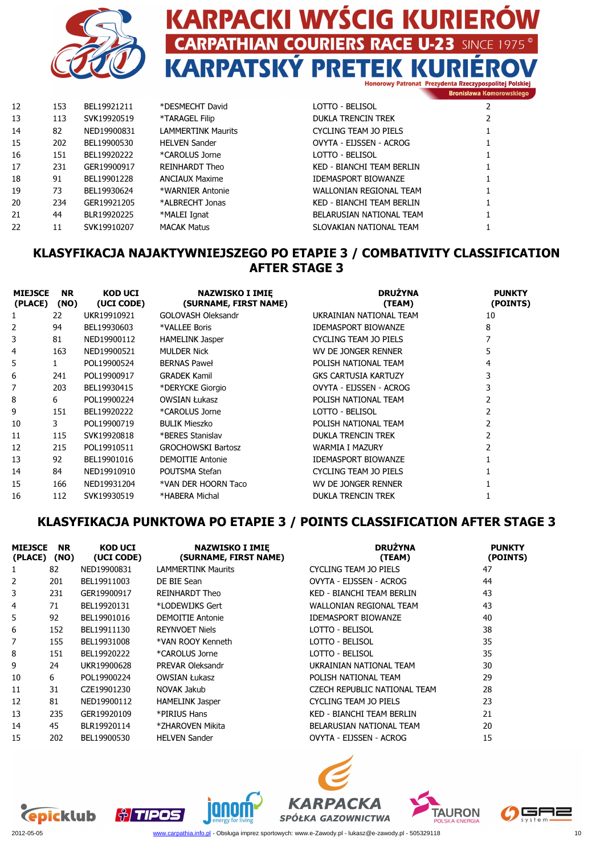

| 12 | 153 | BEL19921211 | *DESMECHT David           | LOTTO - BELISOL            |  |
|----|-----|-------------|---------------------------|----------------------------|--|
| 13 | 113 | SVK19920519 | *TARAGEL Filip            | DUKLA TRENCIN TREK         |  |
| 14 | 82  | NED19900831 | <b>LAMMERTINK Maurits</b> | CYCLING TEAM JO PIELS      |  |
| 15 | 202 | BEL19900530 | <b>HELVEN Sander</b>      | OVYTA - ELISSEN - ACROG    |  |
| 16 | 151 | BEL19920222 | *CAROLUS Jorne            | LOTTO - BELISOL            |  |
| 17 | 231 | GER19900917 | REINHARDT Theo            | KED - BIANCHI TEAM BERLIN  |  |
| 18 | 91  | BEL19901228 | <b>ANCIAUX Maxime</b>     | <b>IDEMASPORT BIOWANZE</b> |  |
| 19 | 73  | BEL19930624 | *WARNIER Antonie          | WALLONIAN REGIONAL TEAM    |  |
| 20 | 234 | GER19921205 | *ALBRECHT Jonas           | KED - BIANCHI TEAM BERLIN  |  |
| 21 | 44  | BLR19920225 | *MALEI Ignat              | BELARUSIAN NATIONAL TEAM   |  |
| 22 | 11  | SVK19910207 | <b>MACAK Matus</b>        | SLOVAKIAN NATIONAL TEAM    |  |

## KLASYFIKACJA NAJAKTYWNIEJSZEGO PO ETAPIE 3 / COMBATIVITY CLASSIFICATION AFTER STAGE 3

| <b>MIEJSCE</b><br>(PLACE) | <b>NR</b><br>(NO) | <b>KOD UCI</b><br>(UCI CODE) | <b>NAZWISKO I IMIE</b><br>(SURNAME, FIRST NAME) | <b>DRUŻYNA</b><br>(TEAM)    | <b>PUNKTY</b><br>(POINTS) |
|---------------------------|-------------------|------------------------------|-------------------------------------------------|-----------------------------|---------------------------|
| 1                         | 22                | UKR19910921                  | <b>GOLOVASH Oleksandr</b>                       | UKRAINIAN NATIONAL TEAM     | 10                        |
| $\overline{2}$            | 94                | BEL19930603                  | *VALLEE Boris                                   | <b>IDEMASPORT BIOWANZE</b>  | 8                         |
| 3                         | 81                | NED19900112                  | <b>HAMELINK Jasper</b>                          | CYCLING TEAM JO PIELS       |                           |
| 4                         | 163               | NED19900521                  | <b>MULDER Nick</b>                              | WV DE JONGER RENNER         | 5                         |
| 5                         |                   | POL19900524                  | <b>BERNAS Paweł</b>                             | POLISH NATIONAL TEAM        | 4                         |
| 6                         | 241               | POL19900917                  | <b>GRADEK Kamil</b>                             | <b>GKS CARTUSIA KARTUZY</b> |                           |
| 7                         | 203               | BEL19930415                  | *DERYCKE Giorgio                                | OVYTA - EIJSSEN - ACROG     |                           |
| 8                         | 6                 | POL19900224                  | <b>OWSIAN Łukasz</b>                            | POLISH NATIONAL TEAM        |                           |
| 9                         | 151               | BEL19920222                  | *CAROLUS Jorne                                  | LOTTO - BELISOL             |                           |
| 10                        | 3                 | POL19900719                  | <b>BULIK Mieszko</b>                            | POLISH NATIONAL TEAM        |                           |
| 11                        | 115               | SVK19920818                  | *BERES Stanislav                                | <b>DUKLA TRENCIN TREK</b>   |                           |
| 12                        | 215               | POL19910511                  | <b>GROCHOWSKI Bartosz</b>                       | WARMIA I MAZURY             |                           |
| 13                        | 92                | BEL19901016                  | <b>DEMOITIE Antonie</b>                         | <b>IDEMASPORT BIOWANZE</b>  |                           |
| 14                        | 84                | NED19910910                  | POUTSMA Stefan                                  | CYCLING TEAM JO PIELS       |                           |
| 15                        | 166               | NED19931204                  | *VAN DER HOORN Taco                             | WV DE JONGER RENNER         |                           |
| 16                        | 112               | SVK19930519                  | *HABERA Michal                                  | <b>DUKLA TRENCIN TREK</b>   |                           |

#### KLASYFIKACJA PUNKTOWA PO ETAPIE 3 / POINTS CLASSIFICATION AFTER STAGE 3

| <b>MIEJSCE</b><br>(PLACE) | <b>NR</b><br>(NO) | <b>KOD UCI</b><br>(UCI CODE) | <b>NAZWISKO I IMIE</b><br>(SURNAME, FIRST NAME) | <b>DRUŻYNA</b><br>(TEAM)       | <b>PUNKTY</b><br>(POINTS) |
|---------------------------|-------------------|------------------------------|-------------------------------------------------|--------------------------------|---------------------------|
|                           | 82                | NED19900831                  | <b>LAMMERTINK Maurits</b>                       | CYCLING TEAM JO PIELS          | 47                        |
| $\overline{2}$            | 201               | BEL19911003                  | DE BIE Sean                                     | OVYTA - EIJSSEN - ACROG        | 44                        |
| 3                         | 231               | GER19900917                  | REINHARDT Theo                                  | KED - BIANCHI TEAM BERLIN      | 43                        |
| 4                         | 71                | BEL19920131                  | *LODEWIJKS Gert                                 | <b>WALLONIAN REGIONAL TEAM</b> | 43                        |
| 5                         | 92                | BEL19901016                  | <b>DEMOITIE Antonie</b>                         | <b>IDEMASPORT BIOWANZE</b>     | 40                        |
| 6                         | 152               | BEL19911130                  | <b>REYNVOET Niels</b>                           | LOTTO - BELISOL                | 38                        |
| 7                         | 155               | BEL19931008                  | *VAN ROOY Kenneth                               | LOTTO - BELISOL                | 35                        |
| 8                         | 151               | BEL19920222                  | *CAROLUS Jorne                                  | LOTTO - BELISOL                | 35                        |
| 9                         | 24                | UKR19900628                  | PREVAR Oleksandr                                | UKRAINIAN NATIONAL TEAM        | 30                        |
| 10                        | 6                 | POL19900224                  | <b>OWSIAN Łukasz</b>                            | POLISH NATIONAL TEAM           | 29                        |
| 11                        | 31                | CZE19901230                  | NOVAK Jakub                                     | CZECH REPUBLIC NATIONAL TEAM   | 28                        |
| 12                        | 81                | NED19900112                  | <b>HAMELINK Jasper</b>                          | CYCLING TEAM JO PIELS          | 23                        |
| 13                        | 235               | GER19920109                  | *PIRIUS Hans                                    | KED - BIANCHI TEAM BERLIN      | 21                        |
| 14                        | 45                | BLR19920114                  | *ZHAROVEN Mikita                                | BELARUSIAN NATIONAL TEAM       | 20                        |
| 15                        | 202               | BEL19900530                  | <b>HELVEN Sander</b>                            | OVYTA - ELISSEN - ACROG        | 15                        |









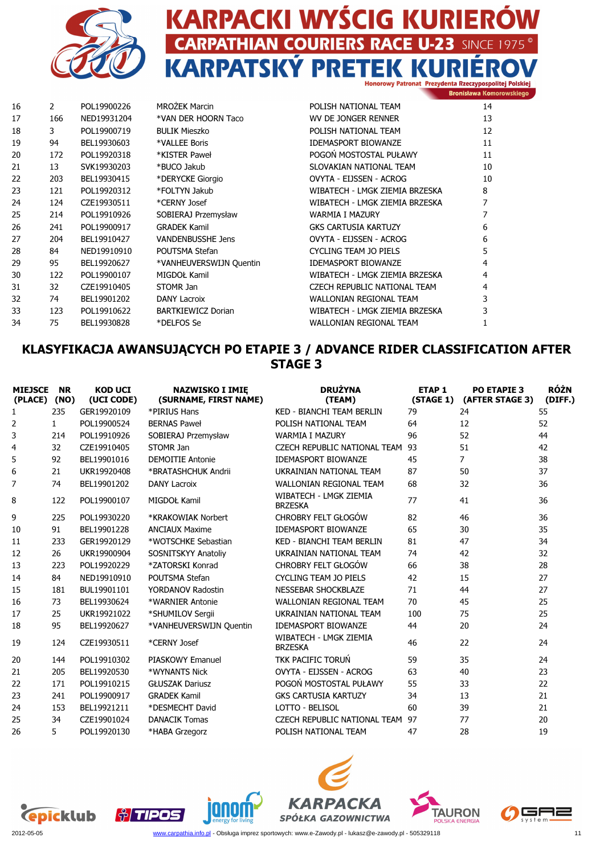

**Bronisława Komorowskiego** 

| 16 | 2   | POL19900226 | MROŻEK Marcin             | POLISH NATIONAL TEAM           | 14 |
|----|-----|-------------|---------------------------|--------------------------------|----|
| 17 | 166 | NED19931204 | *VAN DER HOORN Taco       | WV DE JONGER RENNER            | 13 |
| 18 | 3   | POL19900719 | <b>BULIK Mieszko</b>      | POLISH NATIONAL TEAM           | 12 |
| 19 | 94  | BEL19930603 | *VALLEE Boris             | <b>IDEMASPORT BIOWANZE</b>     | 11 |
| 20 | 172 | POL19920318 | *KISTER Paweł             | POGOŃ MOSTOSTAL PUŁAWY         | 11 |
| 21 | 13  | SVK19930203 | *BUCO Jakub               | SLOVAKIAN NATIONAL TEAM        | 10 |
| 22 | 203 | BEL19930415 | *DERYCKE Giorgio          | OVYTA - EIJSSEN - ACROG        | 10 |
| 23 | 121 | POL19920312 | *FOLTYN Jakub             | WIBATECH - LMGK ZIEMIA BRZESKA | 8  |
| 24 | 124 | CZE19930511 | *CERNY Josef              | WIBATECH - LMGK ZIEMIA BRZESKA | 7  |
| 25 | 214 | POL19910926 | SOBIERAJ Przemysław       | <b>WARMIA I MAZURY</b>         |    |
| 26 | 241 | POL19900917 | <b>GRADEK Kamil</b>       | <b>GKS CARTUSIA KARTUZY</b>    | 6  |
| 27 | 204 | BEL19910427 | <b>VANDENBUSSHE Jens</b>  | OVYTA - EIJSSEN - ACROG        | 6  |
| 28 | 84  | NED19910910 | POUTSMA Stefan            | <b>CYCLING TEAM JO PIELS</b>   | 5  |
| 29 | 95  | BEL19920627 | *VANHEUVERSWIJN Quentin   | <b>IDEMASPORT BIOWANZE</b>     | 4  |
| 30 | 122 | POL19900107 | MIGDOŁ Kamil              | WIBATECH - LMGK ZIEMIA BRZESKA | 4  |
| 31 | 32  | CZE19910405 | STOMR Jan                 | CZECH REPUBLIC NATIONAL TEAM   | 4  |
| 32 | 74  | BEL19901202 | DANY Lacroix              | <b>WALLONIAN REGIONAL TEAM</b> | 3  |
| 33 | 123 | POL19910622 | <b>BARTKIEWICZ Dorian</b> | WIBATECH - LMGK ZIEMIA BRZESKA | 3  |
| 34 | 75  | BEL19930828 | *DELFOS Se                | <b>WALLONIAN REGIONAL TEAM</b> |    |

#### KLASYFIKACJA AWANSUJĄCYCH PO ETAPIE 3 / ADVANCE RIDER CLASSIFICATION AFTER STAGE 3

| <b>MIEJSCE</b><br>(PLACE) | <b>NR</b><br>(NO) | <b>KOD UCI</b><br>(UCI CODE) | <b>NAZWISKO I IMIE</b><br>(SURNAME, FIRST NAME) | <b>DRUŻYNA</b><br>(TEAM)                 | <b>ETAP1</b><br>(STAGE 1) | <b>PO ETAPIE 3</b><br>(AFTER STAGE 3) | <b>RÓŻN</b><br>(DIFF.) |
|---------------------------|-------------------|------------------------------|-------------------------------------------------|------------------------------------------|---------------------------|---------------------------------------|------------------------|
| 1                         | 235               | GER19920109                  | *PIRIUS Hans                                    | <b>KED - BIANCHI TEAM BERLIN</b>         | 79                        | 24                                    | 55                     |
| 2                         | $\mathbf{1}$      | POL19900524                  | <b>BERNAS Paweł</b>                             | POLISH NATIONAL TEAM                     | 64                        | 12                                    | 52                     |
| 3                         | 214               | POL19910926                  | SOBIERAJ Przemysław                             | <b>WARMIA I MAZURY</b>                   | 96                        | 52                                    | 44                     |
| 4                         | 32                | CZE19910405                  | STOMR Jan                                       | CZECH REPUBLIC NATIONAL TEAM             | 93                        | 51                                    | 42                     |
| 5                         | 92                | BEL19901016                  | <b>DEMOITIE Antonie</b>                         | <b>IDEMASPORT BIOWANZE</b>               | 45                        | 7                                     | 38                     |
| 6                         | 21                | UKR19920408                  | *BRATASHCHUK Andrii                             | UKRAINIAN NATIONAL TEAM                  | 87                        | 50                                    | 37                     |
| $\overline{7}$            | 74                | BEL19901202                  | <b>DANY Lacroix</b>                             | WALLONIAN REGIONAL TEAM                  | 68                        | 32                                    | 36                     |
| 8                         | 122               | POL19900107                  | MIGDOŁ Kamil                                    | WIBATECH - LMGK ZIEMIA<br><b>BRZESKA</b> | 77                        | 41                                    | 36                     |
| 9                         | 225               | POL19930220                  | *KRAKOWIAK Norbert                              | <b>CHROBRY FELT GŁOGÓW</b>               | 82                        | 46                                    | 36                     |
| 10                        | 91                | BEL19901228                  | <b>ANCIAUX Maxime</b>                           | <b>IDEMASPORT BIOWANZE</b>               | 65                        | 30                                    | 35                     |
| 11                        | 233               | GER19920129                  | *WOTSCHKE Sebastian                             | <b>KED - BIANCHI TEAM BERLIN</b>         | 81                        | 47                                    | 34                     |
| 12                        | 26                | UKR19900904                  | SOSNITSKYY Anatoliy                             | UKRAINIAN NATIONAL TEAM                  | 74                        | 42                                    | 32                     |
| 13                        | 223               | POL19920229                  | *ZATORSKI Konrad                                | <b>CHROBRY FELT GŁOGÓW</b>               | 66                        | 38                                    | 28                     |
| 14                        | 84                | NED19910910                  | POUTSMA Stefan                                  | <b>CYCLING TEAM JO PIELS</b>             | 42                        | 15                                    | 27                     |
| 15                        | 181               | BUL19901101                  | <b>YORDANOV Radostin</b>                        | <b>NESSEBAR SHOCKBLAZE</b>               | 71                        | 44                                    | 27                     |
| 16                        | 73                | BEL19930624                  | *WARNIER Antonie                                | <b>WALLONIAN REGIONAL TEAM</b>           | 70                        | 45                                    | 25                     |
| 17                        | 25                | UKR19921022                  | *SHUMILOV Sergii                                | UKRAINIAN NATIONAL TEAM                  | 100                       | 75                                    | 25                     |
| 18                        | 95                | BEL19920627                  | *VANHEUVERSWIJN Quentin                         | <b>IDEMASPORT BIOWANZE</b>               | 44                        | 20                                    | 24                     |
| 19                        | 124               | CZE19930511                  | *CERNY Josef                                    | WIBATECH - LMGK ZIEMIA<br><b>BRZESKA</b> | 46                        | 22                                    | 24                     |
| 20                        | 144               | POL19910302                  | <b>PIASKOWY Emanuel</b>                         | <b>TKK PACIFIC TORUŃ</b>                 | 59                        | 35                                    | 24                     |
| 21                        | 205               | BEL19920530                  | *WYNANTS Nick                                   | OVYTA - EIJSSEN - ACROG                  | 63                        | 40                                    | 23                     |
| 22                        | 171               | POL19910215                  | <b>GŁUSZAK Dariusz</b>                          | POGOŃ MOSTOSTAL PUŁAWY                   | 55                        | 33                                    | 22                     |
| 23                        | 241               | POL19900917                  | <b>GRADEK Kamil</b>                             | <b>GKS CARTUSIA KARTUZY</b>              | 34                        | 13                                    | 21                     |
| 24                        | 153               | BEL19921211                  | *DESMECHT David                                 | LOTTO - BELISOL                          | 60                        | 39                                    | 21                     |
| 25                        | 34                | CZE19901024                  | <b>DANACIK Tomas</b>                            | CZECH REPUBLIC NATIONAL TEAM             | 97                        | 77                                    | 20                     |
| 26                        | 5                 | POL19920130                  | *HABA Grzegorz                                  | POLISH NATIONAL TEAM                     | 47                        | 28                                    | 19                     |









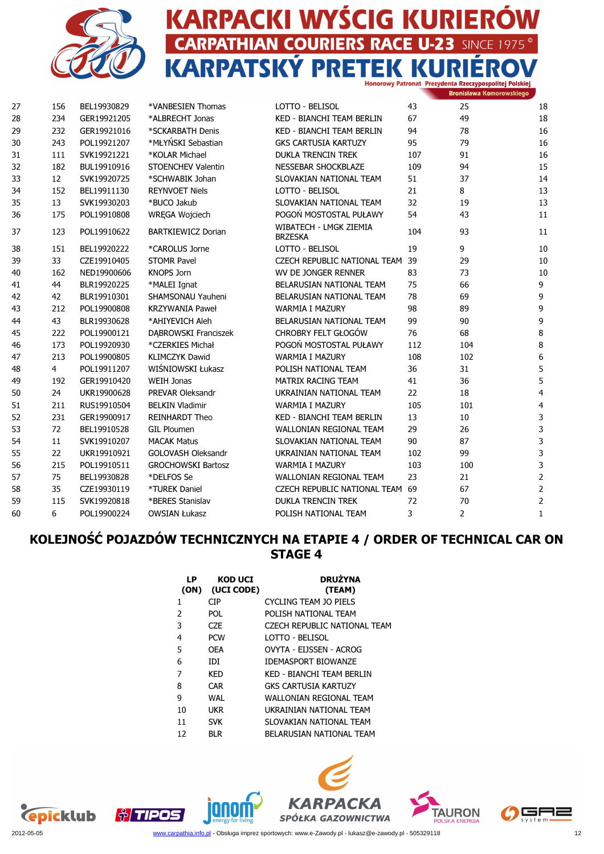

| 27 | 156 | BEL19930829 | *VANBESIEN Thomas           | LOTTO - BELISOL                          | 43  | 25             | 18             |
|----|-----|-------------|-----------------------------|------------------------------------------|-----|----------------|----------------|
| 28 | 234 | GER19921205 | *ALBRECHT Jonas             | <b>KED - BIANCHI TEAM BERLIN</b>         | 67  | 49             | 18             |
| 29 | 232 | GER19921016 | *SCKARBATH Denis            | <b>KED - BIANCHI TEAM BERLIN</b>         | 94  | 78             | 16             |
| 30 | 243 | POL19921207 | *MŁYŃSKI Sebastian          | <b>GKS CARTUSIA KARTUZY</b>              | 95  | 79             | 16             |
| 31 | 111 | SVK19921221 | *KOLAR Michael              | <b>DUKLA TRENCIN TREK</b>                | 107 | 91             | 16             |
| 32 | 182 | BUL19910916 | <b>STOENCHEV Valentin</b>   | NESSEBAR SHOCKBLAZE                      | 109 | 94             | 15             |
| 33 | 12  | SVK19920725 | *SCHWABIK Johan             | SLOVAKIAN NATIONAL TEAM                  | 51  | 37             | 14             |
| 34 | 152 | BEL19911130 | <b>REYNVOET Niels</b>       | LOTTO - BELISOL                          | 21  | 8              | 13             |
| 35 | 13  | SVK19930203 | *BUCO Jakub                 | SLOVAKIAN NATIONAL TEAM                  | 32  | 19             | 13             |
| 36 | 175 | POL19910808 | WRĘGA Wojciech              | POGOŃ MOSTOSTAL PUŁAWY                   | 54  | 43             | 11             |
| 37 | 123 | POL19910622 | <b>BARTKIEWICZ Dorian</b>   | WIBATECH - LMGK ZIEMIA<br><b>BRZESKA</b> | 104 | 93             | 11             |
| 38 | 151 | BEL19920222 | *CAROLUS Jorne              | LOTTO - BELISOL                          | 19  | 9              | 10             |
| 39 | 33  | CZE19910405 | <b>STOMR Pavel</b>          | CZECH REPUBLIC NATIONAL TEAM             | 39  | 29             | 10             |
| 40 | 162 | NED19900606 | <b>KNOPS Jorn</b>           | WV DE JONGER RENNER                      | 83  | 73             | 10             |
| 41 | 44  | BLR19920225 | *MALEI Ignat                | BELARUSIAN NATIONAL TEAM                 | 75  | 66             | 9              |
| 42 | 42  | BLR19910301 | SHAMSONAU Yauheni           | BELARUSIAN NATIONAL TEAM                 | 78  | 69             | 9              |
| 43 | 212 | POL19900808 | <b>KRZYWANIA Paweł</b>      | <b>WARMIA I MAZURY</b>                   | 98  | 89             | 9              |
| 44 | 43  | BLR19930628 | *AHIYEVICH Aleh             | BELARUSIAN NATIONAL TEAM                 | 99  | 90             | 9              |
| 45 | 222 | POL19900121 | <b>DABROWSKI Franciszek</b> | CHROBRY FELT GŁOGÓW                      | 76  | 68             | 8              |
| 46 | 173 | POL19920930 | *CZERKIES Michał            | POGOŃ MOSTOSTAL PUŁAWY                   | 112 | 104            | 8              |
| 47 | 213 | POL19900805 | <b>KLIMCZYK Dawid</b>       | <b>WARMIA I MAZURY</b>                   | 108 | 102            | 6              |
| 48 | 4   | POL19911207 | WIŚNIOWSKI Łukasz           | POLISH NATIONAL TEAM                     | 36  | 31             | 5              |
| 49 | 192 | GER19910420 | <b>WEIH Jonas</b>           | <b>MATRIX RACING TEAM</b>                | 41  | 36             | 5              |
| 50 | 24  | UKR19900628 | PREVAR Oleksandr            | UKRAINIAN NATIONAL TEAM                  | 22  | 18             | 4              |
| 51 | 211 | RUS19910504 | <b>BELKIN Vladimir</b>      | <b>WARMIA I MAZURY</b>                   | 105 | 101            | 4              |
| 52 | 231 | GER19900917 | <b>REINHARDT Theo</b>       | <b>KED - BIANCHI TEAM BERLIN</b>         | 13  | 10             | 3              |
| 53 | 72  | BEL19910528 | <b>GIL Ploumen</b>          | <b>WALLONIAN REGIONAL TEAM</b>           | 29  | 26             | 3              |
| 54 | 11  | SVK19910207 | <b>MACAK Matus</b>          | SLOVAKIAN NATIONAL TEAM                  | 90  | 87             | 3              |
| 55 | 22  | UKR19910921 | <b>GOLOVASH Oleksandr</b>   | UKRAINIAN NATIONAL TEAM                  | 102 | 99             | 3              |
| 56 | 215 | POL19910511 | <b>GROCHOWSKI Bartosz</b>   | <b>WARMIA I MAZURY</b>                   | 103 | 100            | 3              |
| 57 | 75  | BEL19930828 | *DELFOS Se                  | <b>WALLONIAN REGIONAL TEAM</b>           | 23  | 21             | $\overline{2}$ |
| 58 | 35  | CZE19930119 | <b>*TUREK Daniel</b>        | CZECH REPUBLIC NATIONAL TEAM             | 69  | 67             | $\overline{2}$ |
| 59 | 115 | SVK19920818 | *BERES Stanislav            | <b>DUKLA TRENCIN TREK</b>                | 72  | 70             | $\overline{2}$ |
| 60 | 6   | POL19900224 | <b>OWSIAN Łukasz</b>        | POLISH NATIONAL TEAM                     | 3   | $\overline{2}$ | $\mathbf{1}$   |
|    |     |             |                             |                                          |     |                |                |

# KOLEJNOŚĆ POJAZDÓW TECHNICZNYCH NA ETAPIE 4 / ORDER OF TECHNICAL CAR ON STAGE 4

| LP<br>(ON) | <b>KOD UCI</b><br>(UCI CODE) | <b>DRUŻYNA</b><br>(TEAM)     |
|------------|------------------------------|------------------------------|
| 1          | CIP                          | CYCLING TEAM JO PIELS        |
| 2          | <b>POL</b>                   | POLISH NATIONAL TFAM         |
| 3          | C7F                          | CZECH REPUBLIC NATIONAL TEAM |
| 4          | <b>PCW</b>                   | LOTTO - BELISOL              |
| 5          | <b>OEA</b>                   | OVYTA - ELISSEN - ACROG      |
| 6          | IDI                          | <b>IDEMASPORT BIOWANZE</b>   |
| 7          | KFD                          | KFD - BIANCHI TFAM BFRI IN   |
| 8          | <b>CAR</b>                   | <b>GKS CARTUSIA KARTUZY</b>  |
| ٩          | WAL                          | WALLONIAN REGIONAL TEAM      |
| 10         | <b>UKR</b>                   | UKRAINIAN NATIONAL TEAM      |
| 11         | <b>SVK</b>                   | SI OVAKTAN NATIONAL TFAM     |
| 12         | <b>BLR</b>                   | BELARUSIAN NATIONAL TEAM     |









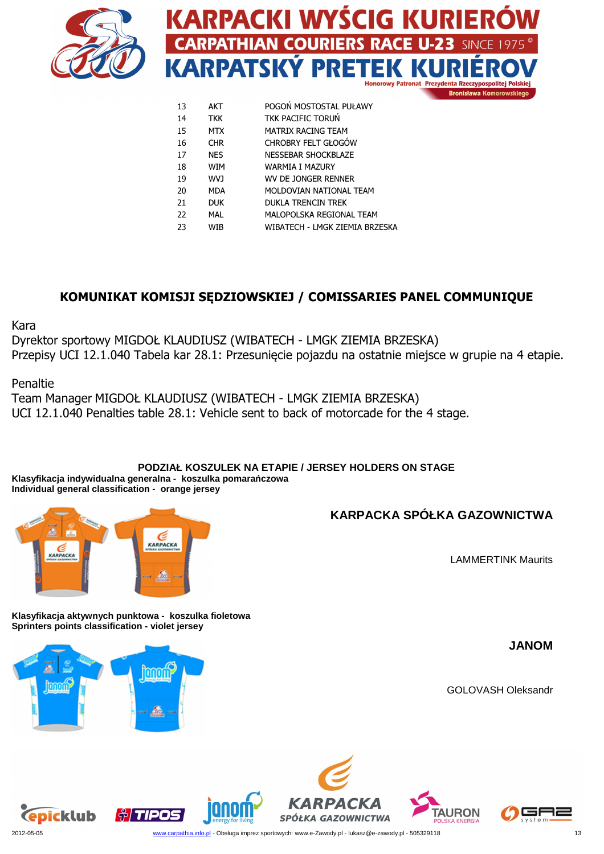

| 13 | AKT        | POGOŃ MOSTOSTAL PUŁAWY         |
|----|------------|--------------------------------|
| 14 | <b>TKK</b> | <b>TKK PACIFIC TORUN</b>       |
| 15 | <b>MTX</b> | <b>MATRIX RACING TEAM</b>      |
| 16 | <b>CHR</b> | <b>CHROBRY FELT GŁOGÓW</b>     |
| 17 | <b>NES</b> | NESSEBAR SHOCKBLAZE            |
| 18 | <b>WIM</b> | WARMIA I MAZURY                |
| 19 | WVJ        | WV DE JONGER RENNER            |
| 20 | <b>MDA</b> | MOLDOVIAN NATIONAL TEAM        |
| 21 | <b>DUK</b> | <b>DUKLA TRENCIN TREK</b>      |
| 22 | MAL        | MALOPOLSKA REGIONAL TEAM       |
| 23 | WIB        | WIBATECH - LMGK ZIEMIA BRZESKA |
|    |            |                                |

## KOMUNIKAT KOMISJI SĘDZIOWSKIEJ / COMISSARIES PANEL COMMUNIQUE

Kara

Dyrektor sportowy MIGDOŁ KLAUDIUSZ (WIBATECH - LMGK ZIEMIA BRZESKA) Przepisy UCI 12.1.040 Tabela kar 28.1: Przesunięcie pojazdu na ostatnie miejsce w grupie na 4 etapie.

Penaltie

Team Manager MIGDOŁ KLAUDIUSZ (WIBATECH - LMGK ZIEMIA BRZESKA) UCI 12.1.040 Penalties table 28.1: Vehicle sent to back of motorcade for the 4 stage.

#### **PODZIAŁ KOSZULEK NA ETAPIE / JERSEY HOLDERS ON STAGE**

**Klasyfikacja indywidualna generalna - koszulka pomara**ń**czowa Individual general classification - orange jersey** 



# **KARPACKA SPÓŁKA GAZOWNICTWA**

LAMMERTINK Maurits

**Klasyfikacja aktywnych punktowa - koszulka fioletowa Sprinters points classification - violet jersey** 

mon

**JANOM**

GOLOVASH Oleksandr